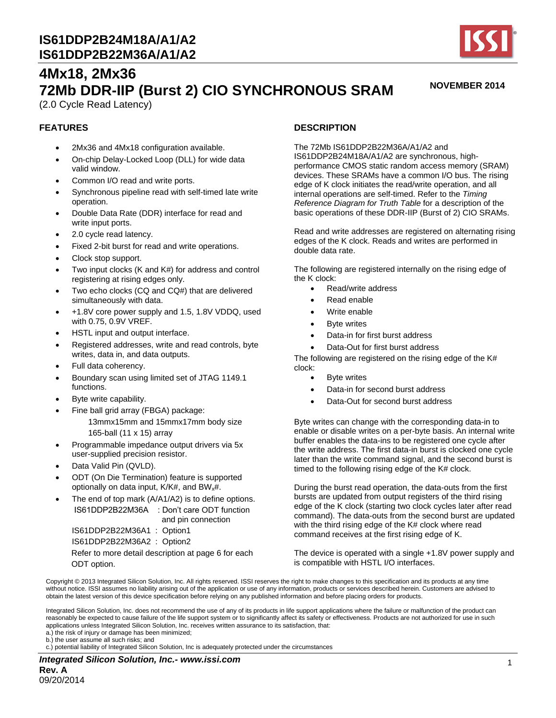

**NOVEMBER 2014**

# **4Mx18, 2Mx36 72Mb DDR-IIP (Burst 2) CIO SYNCHRONOUS SRAM** (2.0 Cycle Read Latency)

### **FEATURES**

- 2Mx36 and 4Mx18 configuration available.
- On-chip Delay-Locked Loop (DLL) for wide data valid window.
- Common I/O read and write ports.
- Synchronous pipeline read with self-timed late write operation.
- Double Data Rate (DDR) interface for read and write input ports.
- 2.0 cycle read latency.
- Fixed 2-bit burst for read and write operations.
- Clock stop support.
- Two input clocks (K and K#) for address and control registering at rising edges only.
- Two echo clocks (CQ and CQ#) that are delivered simultaneously with data.
- +1.8V core power supply and 1.5, 1.8V VDDQ, used with 0.75, 0.9V VREF.
- HSTL input and output interface.
- Registered addresses, write and read controls, byte writes, data in, and data outputs.
- Full data coherency.
- Boundary scan using limited set of JTAG 1149.1 functions.
- Byte write capability.
	- Fine ball grid array (FBGA) package: 13mmx15mm and 15mmx17mm body size 165-ball (11 x 15) array
- Programmable impedance output drivers via 5x user-supplied precision resistor.
- Data Valid Pin (QVLD).
- ODT (On Die Termination) feature is supported optionally on data input, K/K#, and BW<sub>x</sub>#.
- The end of top mark (A/A1/A2) is to define options. IS61DDP2B22M36A : Don't care ODT function and pin connection IS61DDP2B22M36A1 : Option1 IS61DDP2B22M36A2 : Option2 Refer to more detail description at page 6 for each ODT option.

### **DESCRIPTION**

The 72Mb IS61DDP2B22M36A/A1/A2 and IS61DDP2B24M18A/A1/A2 are synchronous, highperformance CMOS static random access memory (SRAM) devices. These SRAMs have a common I/O bus. The rising edge of K clock initiates the read/write operation, and all internal operations are self-timed. Refer to the *Timing Reference Diagram for Truth Table* for a description of the basic operations of these DDR-IIP (Burst of 2) CIO SRAMs.

Read and write addresses are registered on alternating rising edges of the K clock. Reads and writes are performed in double data rate.

The following are registered internally on the rising edge of the K clock:

- Read/write address
- Read enable
- Write enable
- Byte writes
- Data-in for first burst address
- Data-Out for first burst address

The following are registered on the rising edge of the K# clock:

- Byte writes
- Data-in for second burst address
- Data-Out for second burst address

Byte writes can change with the corresponding data-in to enable or disable writes on a per-byte basis. An internal write buffer enables the data-ins to be registered one cycle after the write address. The first data-in burst is clocked one cycle later than the write command signal, and the second burst is timed to the following rising edge of the K# clock.

During the burst read operation, the data-outs from the first bursts are updated from output registers of the third rising edge of the K clock (starting two clock cycles later after read command). The data-outs from the second burst are updated with the third rising edge of the K# clock where read command receives at the first rising edge of K.

The device is operated with a single +1.8V power supply and is compatible with HSTL I/O interfaces.

Copyright © 2013 Integrated Silicon Solution, Inc. All rights reserved. ISSI reserves the right to make changes to this specification and its products at any time without notice. ISSI assumes no liability arising out of the application or use of any information, products or services described herein. Customers are advised to obtain the latest version of this device specification before relying on any published information and before placing orders for products.

Integrated Silicon Solution, Inc. does not recommend the use of any of its products in life support applications where the failure or malfunction of the product can reasonably be expected to cause failure of the life support system or to significantly affect its safety or effectiveness. Products are not authorized for use in such applications unless Integrated Silicon Solution, Inc. receives written assurance to its satisfaction, that:

a.) the risk of injury or damage has been minimized;

b.) the user assume all such risks; and

c.) potential liability of Integrated Silicon Solution, Inc is adequately protected under the circumstances

*Integrated Silicon Solution, Inc.- www.issi.com* **Rev. A** 09/20/2014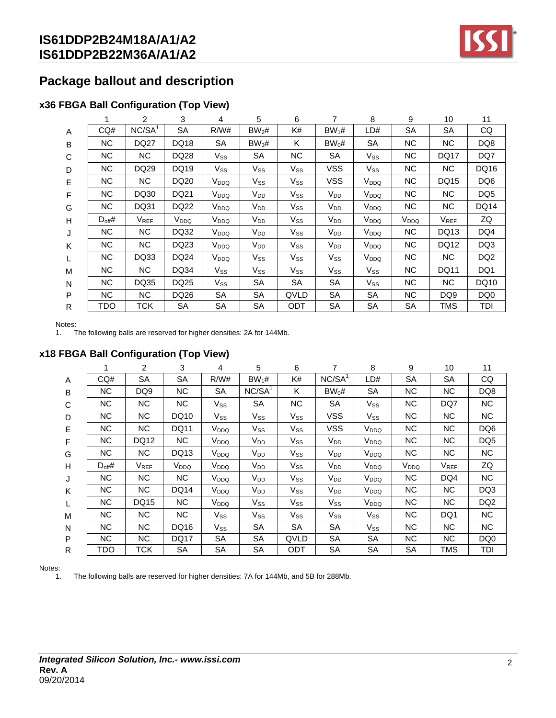

# **Package ballout and description**

## **x36 FBGA Ball Configuration (Top View)**

|   |             | 2                  | 3                | 4                | 5                 | 6                          | 7                          | 8                | 9                | 10               | 11              |
|---|-------------|--------------------|------------------|------------------|-------------------|----------------------------|----------------------------|------------------|------------------|------------------|-----------------|
| A | CO#         | NC/SA <sup>1</sup> | <b>SA</b>        | R/W#             | BW <sub>2</sub> # | K#                         | $BW_1#$                    | LD#              | <b>SA</b>        | <b>SA</b>        | CQ              |
| B | <b>NC</b>   | <b>DQ27</b>        | <b>DQ18</b>      | <b>SA</b>        | BW <sub>3</sub> # | K                          | $BW_0#$                    | <b>SA</b>        | NC.              | N <sub>C</sub>   | DQ8             |
| C | <b>NC</b>   | <b>NC</b>          | DQ28             | $V_{SS}$         | <b>SA</b>         | <b>NC</b>                  | SA                         | $V_{SS}$         | <b>NC</b>        | <b>DQ17</b>      | DQ7             |
| D | <b>NC</b>   | DQ29               | DQ19             | $V_{SS}$         | $V_{SS}$          | $V_{SS}$                   | <b>VSS</b>                 | Vss              | NC.              | NC.              | DQ16            |
| E | NC.         | <b>NC</b>          | DQ20             | V <sub>DDQ</sub> | $V_{SS}$          | $\mathsf{V}_{\mathsf{SS}}$ | <b>VSS</b>                 | V <sub>DDQ</sub> | <b>NC</b>        | DQ15             | DQ <sub>6</sub> |
| F | NC          | DQ30               | DQ21             | V <sub>DDQ</sub> | V <sub>DD</sub>   | $V_{SS}$                   | $V_{DD}$                   | V <sub>DDQ</sub> | NC.              | NC               | DQ <sub>5</sub> |
| G | <b>NC</b>   | DQ31               | <b>DQ22</b>      | V <sub>DDQ</sub> | V <sub>DD</sub>   | Vss                        | V <sub>DD</sub>            | V <sub>DDQ</sub> | NC.              | NC.              | <b>DQ14</b>     |
| Н | $D_{off}$ # | $V_{REF}$          | V <sub>DDQ</sub> | V <sub>DDQ</sub> | $V_{DD}$          | $V_{SS}$                   | V <sub>DD</sub>            | V <sub>DDQ</sub> | V <sub>DDQ</sub> | V <sub>REF</sub> | ZQ              |
| J | NC.         | <b>NC</b>          | DQ32             | V <sub>DDQ</sub> | $V_{DD}$          | $V_{SS}$                   | $V_{DD}$                   | V <sub>DDQ</sub> | NC.              | DQ13             | DQ4             |
| K | NC.         | <b>NC</b>          | DQ23             | V <sub>DDQ</sub> | V <sub>DD</sub>   | $V_{SS}$                   | V <sub>DD</sub>            | V <sub>DDQ</sub> | NC.              | DQ12             | DQ3             |
| L | NC.         | DQ33               | DQ24             | V <sub>DDQ</sub> | $V_{SS}$          | $V_{SS}$                   | $V_{SS}$                   | V <sub>DDQ</sub> | NC.              | NC               | DQ <sub>2</sub> |
| M | <b>NC</b>   | <b>NC</b>          | DQ34             | $V_{SS}$         | $V_{SS}$          | $V_{SS}$                   | $\mathsf{V}_{\mathsf{SS}}$ | $V_{SS}$         | NC.              | <b>DQ11</b>      | DQ1             |
| N | <b>NC</b>   | DQ35               | DQ25             | $V_{SS}$         | <b>SA</b>         | <b>SA</b>                  | SA                         | $V_{SS}$         | <b>NC</b>        | N <sub>C</sub>   | DQ10            |
| P | <b>NC</b>   | NC.                | DQ26             | SА               | <b>SA</b>         | QVLD                       | SA                         | SA               | <b>NC</b>        | DQ <sub>9</sub>  | DQ0             |
| R | TDO         | TCK                | <b>SA</b>        | SА               | <b>SA</b>         | ODT                        | SA                         | SA               | SА               | TMS              | TDI             |

Notes:<br>1. T

The following balls are reserved for higher densities: 2A for 144Mb.

### **x18 FBGA Ball Configuration (Top View)**

|   |                | $\overline{2}$ | 3                | 4                          | 5                  | 6                          | 7                          | 8                | 9                | 10             | 11              |
|---|----------------|----------------|------------------|----------------------------|--------------------|----------------------------|----------------------------|------------------|------------------|----------------|-----------------|
| A | CQ#            | <b>SA</b>      | <b>SA</b>        | R/W#                       | $BW_1#$            | K#                         | NC/SA <sup>1</sup>         | LD#              | <b>SA</b>        | <b>SA</b>      | CQ              |
| B | NС             | DQ9            | NС               | SA                         | NC/SA <sup>1</sup> | ĸ                          | $BW_0#$                    | SА               | ΝC               | NC.            | DQ8             |
| C | NC.            | NC             | NC.              | $V_{SS}$                   | SA                 | NC.                        | SA                         | $V_{SS}$         | <b>NC</b>        | DQ7            | <b>NC</b>       |
| D | NС             | NC.            | DQ10             | Vss                        | $V_{SS}$           | $V_{SS}$                   | <b>VSS</b>                 | $V_{SS}$         | <b>NC</b>        | NC.            | <b>NC</b>       |
| Е | NC.            | NC             | <b>DQ11</b>      | V <sub>DDQ</sub>           | Vss                | Vss                        | <b>VSS</b>                 | V <sub>DDQ</sub> | <b>NC</b>        | <b>NC</b>      | DQ6             |
| F | N <sub>C</sub> | DQ12           | N <sub>C</sub>   | V <sub>DDQ</sub>           | V <sub>DD</sub>    | $\mathsf{V}_{\mathsf{SS}}$ | V <sub>DD</sub>            | V <sub>DDQ</sub> | <b>NC</b>        | <b>NC</b>      | DQ <sub>5</sub> |
| G | NC.            | NC             | DQ13             | V <sub>DDQ</sub>           | $V_{DD}$           | Vss                        | $V_{DD}$                   | V <sub>DDQ</sub> | <b>NC</b>        | NC.            | <b>NC</b>       |
| H | $D_{off}$ #    | <b>VREF</b>    | V <sub>DDQ</sub> | V <sub>DDQ</sub>           | V <sub>DD</sub>    | $V_{SS}$                   | V <sub>DD</sub>            | V <sub>DDQ</sub> | V <sub>DDQ</sub> | <b>VREF</b>    | ZQ              |
| J | N <sub>C</sub> | NC.            | NC.              | V <sub>DDQ</sub>           | $V_{DD}$           | $V_{SS}$                   | V <sub>DD</sub>            | V <sub>DDQ</sub> | <b>NC</b>        | DQ4            | <b>NC</b>       |
| K | NC.            | NC             | <b>DQ14</b>      | V <sub>DDQ</sub>           | $V_{DD}$           | $V_{SS}$                   | $V_{DD}$                   | V <sub>DDQ</sub> | ΝC               | NC             | DQ3             |
| L | N <sub>C</sub> | DQ15           | NС               | $V_{DDQ}$                  | $V_{SS}$           | $V_{SS}$                   | $\mathsf{V}_{\mathsf{SS}}$ | V <sub>DDQ</sub> | <b>NC</b>        | N <sub>C</sub> | DQ <sub>2</sub> |
| M | NС             | NC.            | NC.              | $V_{SS}$                   | $V_{SS}$           | $V_{SS}$                   | $V_{SS}$                   | Vss              | NС               | DQ1            | NC.             |
| N | NC.            | <b>NC</b>      | DQ16             | $\mathsf{V}_{\mathsf{SS}}$ | SA                 | SA                         | <b>SA</b>                  | $V_{SS}$         | <b>NC</b>        | <b>NC</b>      | <b>NC</b>       |
| P | NC.            | <b>NC</b>      | <b>DQ17</b>      | <b>SA</b>                  | SА                 | QVLD                       | <b>SA</b>                  | SА               | <b>NC</b>        | NC.            | DQ <sub>0</sub> |
| R | TDO            | тск            | SA               | SA                         | <b>SA</b>          | ODT                        | <b>SA</b>                  | SА               | SA               | TMS            | TDI             |

Notes:

1. The following balls are reserved for higher densities: 7A for 144Mb, and 5B for 288Mb.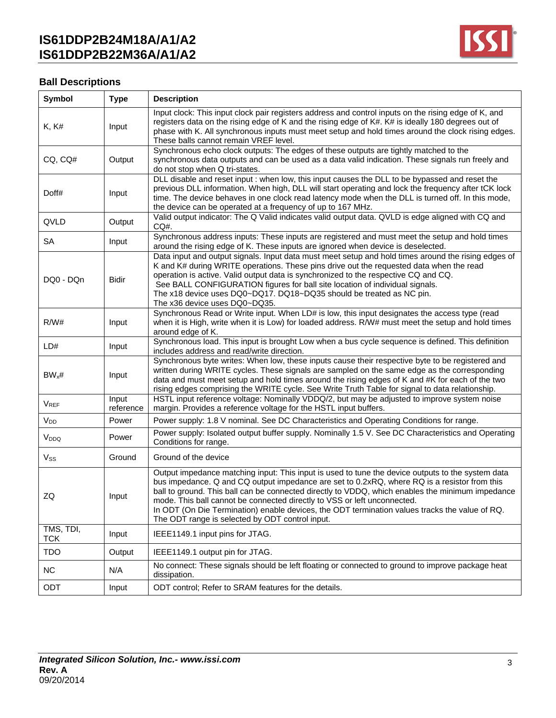

## **Ball Descriptions**

| Symbol                                                                                  | <b>Type</b>        | <b>Description</b>                                                                                                                                                                                                                                                                                                                                                                                                                                                             |
|-----------------------------------------------------------------------------------------|--------------------|--------------------------------------------------------------------------------------------------------------------------------------------------------------------------------------------------------------------------------------------------------------------------------------------------------------------------------------------------------------------------------------------------------------------------------------------------------------------------------|
| K, K#                                                                                   | Input              | Input clock: This input clock pair registers address and control inputs on the rising edge of K, and<br>registers data on the rising edge of K and the rising edge of K#. K# is ideally 180 degrees out of<br>phase with K. All synchronous inputs must meet setup and hold times around the clock rising edges.<br>These balls cannot remain VREF level.                                                                                                                      |
| CQ, CQ#                                                                                 | Output             | Synchronous echo clock outputs: The edges of these outputs are tightly matched to the<br>synchronous data outputs and can be used as a data valid indication. These signals run freely and<br>do not stop when Q tri-states.                                                                                                                                                                                                                                                   |
| Doff#                                                                                   | Input              | DLL disable and reset input : when low, this input causes the DLL to be bypassed and reset the<br>previous DLL information. When high, DLL will start operating and lock the frequency after tCK lock<br>time. The device behaves in one clock read latency mode when the DLL is turned off. In this mode,<br>the device can be operated at a frequency of up to 167 MHz.                                                                                                      |
| QVLD                                                                                    | Output             | Valid output indicator: The Q Valid indicates valid output data. QVLD is edge aligned with CQ and<br>$CO#$ .                                                                                                                                                                                                                                                                                                                                                                   |
| <b>SA</b>                                                                               | Input              | Synchronous address inputs: These inputs are registered and must meet the setup and hold times<br>around the rising edge of K. These inputs are ignored when device is deselected.                                                                                                                                                                                                                                                                                             |
| DQ0 - DQn                                                                               | <b>Bidir</b>       | Data input and output signals. Input data must meet setup and hold times around the rising edges of<br>K and K# during WRITE operations. These pins drive out the requested data when the read<br>operation is active. Valid output data is synchronized to the respective CQ and CQ.<br>See BALL CONFIGURATION figures for ball site location of individual signals.<br>The x18 device uses DQ0~DQ17. DQ18~DQ35 should be treated as NC pin.<br>The x36 device uses DQ0~DQ35. |
| R/W#                                                                                    | Input              | Synchronous Read or Write input. When LD# is low, this input designates the access type (read<br>when it is High, write when it is Low) for loaded address. R/W# must meet the setup and hold times<br>around edge of K.                                                                                                                                                                                                                                                       |
| LD#                                                                                     | Input              | Synchronous load. This input is brought Low when a bus cycle sequence is defined. This definition<br>includes address and read/write direction.                                                                                                                                                                                                                                                                                                                                |
| $BW_x#$                                                                                 | Input              | Synchronous byte writes: When low, these inputs cause their respective byte to be registered and<br>written during WRITE cycles. These signals are sampled on the same edge as the corresponding<br>data and must meet setup and hold times around the rising edges of K and #K for each of the two<br>rising edges comprising the WRITE cycle. See Write Truth Table for signal to data relationship.                                                                         |
| $V_{REF}$                                                                               | Input<br>reference | HSTL input reference voltage: Nominally VDDQ/2, but may be adjusted to improve system noise<br>margin. Provides a reference voltage for the HSTL input buffers.                                                                                                                                                                                                                                                                                                                |
| V <sub>DD</sub>                                                                         | Power              | Power supply: 1.8 V nominal. See DC Characteristics and Operating Conditions for range.                                                                                                                                                                                                                                                                                                                                                                                        |
| V <sub>DDQ</sub>                                                                        | Power              | Power supply: Isolated output buffer supply. Nominally 1.5 V. See DC Characteristics and Operating<br>Conditions for range.                                                                                                                                                                                                                                                                                                                                                    |
| $V_{SS}$                                                                                | Ground             | Ground of the device                                                                                                                                                                                                                                                                                                                                                                                                                                                           |
| ZQ<br>Input<br>mode. This ball cannot be connected directly to VSS or left unconnected. |                    | Output impedance matching input: This input is used to tune the device outputs to the system data<br>bus impedance. Q and CQ output impedance are set to 0.2xRQ, where RQ is a resistor from this<br>ball to ground. This ball can be connected directly to VDDQ, which enables the minimum impedance<br>In ODT (On Die Termination) enable devices, the ODT termination values tracks the value of RQ.<br>The ODT range is selected by ODT control input.                     |
| TMS, TDI,<br><b>TCK</b>                                                                 | Input              | IEEE1149.1 input pins for JTAG.                                                                                                                                                                                                                                                                                                                                                                                                                                                |
| <b>TDO</b>                                                                              | Output             | IEEE1149.1 output pin for JTAG.                                                                                                                                                                                                                                                                                                                                                                                                                                                |
| NC                                                                                      | N/A                | No connect: These signals should be left floating or connected to ground to improve package heat<br>dissipation.                                                                                                                                                                                                                                                                                                                                                               |
| ODT                                                                                     | Input              | ODT control; Refer to SRAM features for the details.                                                                                                                                                                                                                                                                                                                                                                                                                           |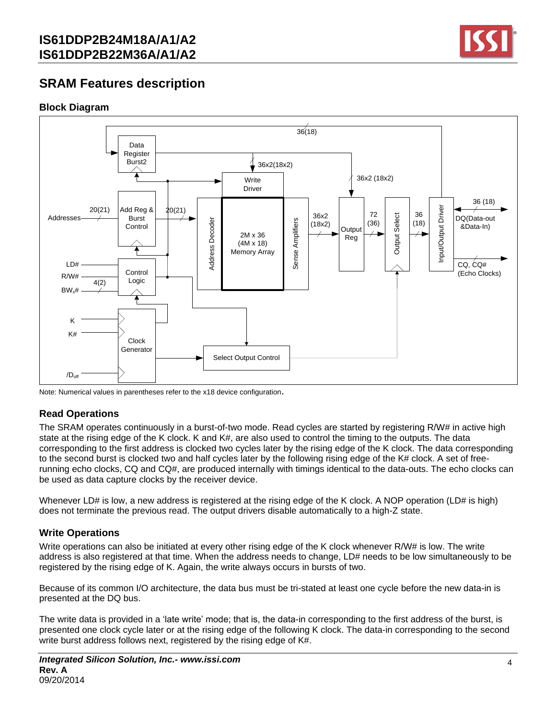

# **SRAM Features description**

### **Block Diagram**



Note: Numerical values in parentheses refer to the x18 device configuration.

## **Read Operations**

The SRAM operates continuously in a burst-of-two mode. Read cycles are started by registering R/W# in active high state at the rising edge of the K clock. K and K#, are also used to control the timing to the outputs. The data corresponding to the first address is clocked two cycles later by the rising edge of the K clock. The data corresponding to the second burst is clocked two and half cycles later by the following rising edge of the K# clock. A set of freerunning echo clocks, CQ and CQ#, are produced internally with timings identical to the data-outs. The echo clocks can be used as data capture clocks by the receiver device.

Whenever LD# is low, a new address is registered at the rising edge of the K clock. A NOP operation (LD# is high) does not terminate the previous read. The output drivers disable automatically to a high-Z state.

## **Write Operations**

Write operations can also be initiated at every other rising edge of the K clock whenever R/W# is low. The write address is also registered at that time. When the address needs to change, LD# needs to be low simultaneously to be registered by the rising edge of K. Again, the write always occurs in bursts of two.

Because of its common I/O architecture, the data bus must be tri-stated at least one cycle before the new data-in is presented at the DQ bus.

The write data is provided in a 'late write' mode; that is, the data-in corresponding to the first address of the burst, is presented one clock cycle later or at the rising edge of the following K clock. The data-in corresponding to the second write burst address follows next, registered by the rising edge of K#.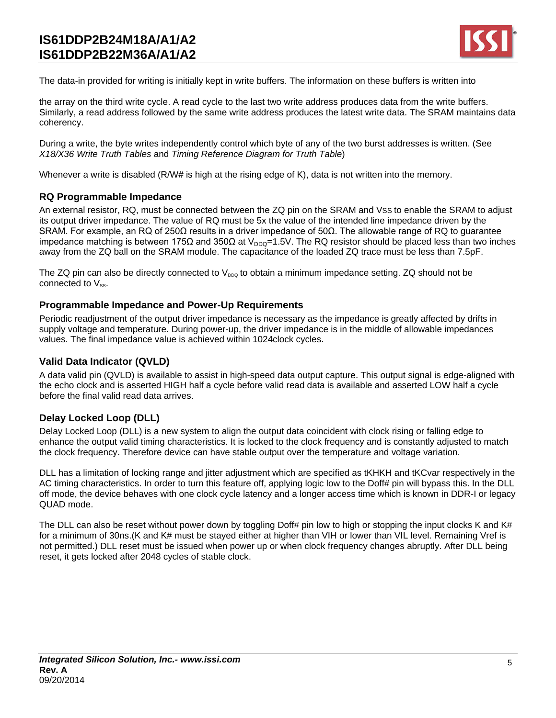

The data-in provided for writing is initially kept in write buffers. The information on these buffers is written into

the array on the third write cycle. A read cycle to the last two write address produces data from the write buffers. Similarly, a read address followed by the same write address produces the latest write data. The SRAM maintains data coherency.

During a write, the byte writes independently control which byte of any of the two burst addresses is written. (See *X18/X36 Write Truth Tables* and *Timing Reference Diagram for Truth Table*)

Whenever a write is disabled (R/W# is high at the rising edge of K), data is not written into the memory.

### **RQ Programmable Impedance**

An external resistor, RQ, must be connected between the ZQ pin on the SRAM and VSS to enable the SRAM to adjust its output driver impedance. The value of RQ must be 5x the value of the intended line impedance driven by the SRAM. For example, an RQ of 250Ω results in a driver impedance of 50Ω. The allowable range of RQ to guarantee impedance matching is between 175Ω and 350Ω at V<sub>DDQ</sub>=1.5V. The RQ resistor should be placed less than two inches away from the ZQ ball on the SRAM module. The capacitance of the loaded ZQ trace must be less than 7.5pF.

The ZQ pin can also be directly connected to  $V_{\text{DDQ}}$  to obtain a minimum impedance setting. ZQ should not be connected to  $V_{ss}$ .

### **Programmable Impedance and Power-Up Requirements**

Periodic readjustment of the output driver impedance is necessary as the impedance is greatly affected by drifts in supply voltage and temperature. During power-up, the driver impedance is in the middle of allowable impedances values. The final impedance value is achieved within 1024clock cycles.

### **Valid Data Indicator (QVLD)**

A data valid pin (QVLD) is available to assist in high-speed data output capture. This output signal is edge-aligned with the echo clock and is asserted HIGH half a cycle before valid read data is available and asserted LOW half a cycle before the final valid read data arrives.

### **Delay Locked Loop (DLL)**

Delay Locked Loop (DLL) is a new system to align the output data coincident with clock rising or falling edge to enhance the output valid timing characteristics. It is locked to the clock frequency and is constantly adjusted to match the clock frequency. Therefore device can have stable output over the temperature and voltage variation.

DLL has a limitation of locking range and jitter adjustment which are specified as tKHKH and tKCvar respectively in the AC timing characteristics. In order to turn this feature off, applying logic low to the Doff# pin will bypass this. In the DLL off mode, the device behaves with one clock cycle latency and a longer access time which is known in DDR-I or legacy QUAD mode.

The DLL can also be reset without power down by toggling Doff# pin low to high or stopping the input clocks K and K# for a minimum of 30ns.(K and K# must be stayed either at higher than VIH or lower than VIL level. Remaining Vref is not permitted.) DLL reset must be issued when power up or when clock frequency changes abruptly. After DLL being reset, it gets locked after 2048 cycles of stable clock.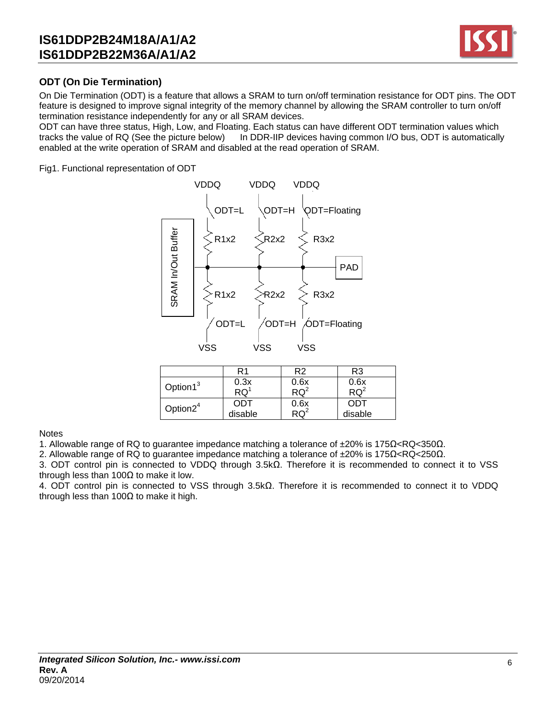

## **ODT (On Die Termination)**

On Die Termination (ODT) is a feature that allows a SRAM to turn on/off termination resistance for ODT pins. The ODT feature is designed to improve signal integrity of the memory channel by allowing the SRAM controller to turn on/off termination resistance independently for any or all SRAM devices.

ODT can have three status, High, Low, and Floating. Each status can have different ODT termination values which tracks the value of RQ (See the picture below) In DDR-IIP devices having common I/O bus, ODT is automatically enabled at the write operation of SRAM and disabled at the read operation of SRAM.

Fig1. Functional representation of ODT



|                      | R1        | R <sub>2</sub> | R3      |
|----------------------|-----------|----------------|---------|
| Option1 <sup>3</sup> | 0.3x      | 0.6x           | 0.6x    |
|                      | <b>RQ</b> | $RQ^2$         | $RQ^2$  |
| Option $2^4$         | ODT       | 0.6x           | ODT     |
|                      | disable   |                | disable |

#### **Notes**

1. Allowable range of RQ to guarantee impedance matching a tolerance of ±20% is 175Ω<RQ<350Ω.

2. Allowable range of RQ to guarantee impedance matching a tolerance of  $\pm 20\%$  is 175 $\Omega$ <RQ<250 $\Omega$ .

3. ODT control pin is connected to VDDQ through 3.5kΩ. Therefore it is recommended to connect it to VSS through less than  $100Ω$  to make it low.

4. ODT control pin is connected to VSS through 3.5kΩ. Therefore it is recommended to connect it to VDDQ through less than 100 $Ω$  to make it high.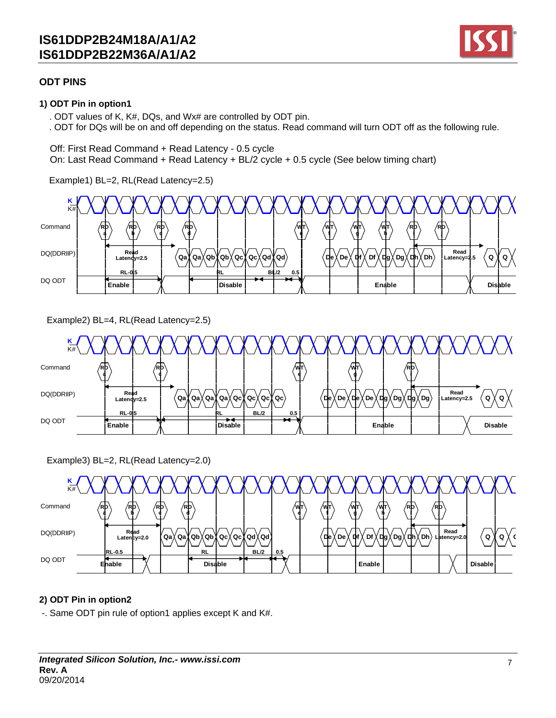

## **ODT PINS**

### **1) ODT Pin in option1**

. ODT values of K, K#, DQs, and Wx# are controlled by ODT pin.

. ODT for DQs will be on and off depending on the status. Read command will turn ODT off as the following rule.

Off: First Read Command + Read Latency - 0.5 cycle

On: Last Read Command + Read Latency + BL/2 cycle + 0.5 cycle (See below timing chart)

Example1) BL=2, RL(Read Latency=2.5)



Example2) BL=4, RL(Read Latency=2.5)



Example3) BL=2, RL(Read Latency=2.0)



## **2) ODT Pin in option2**

-. Same ODT pin rule of option1 applies except K and K#.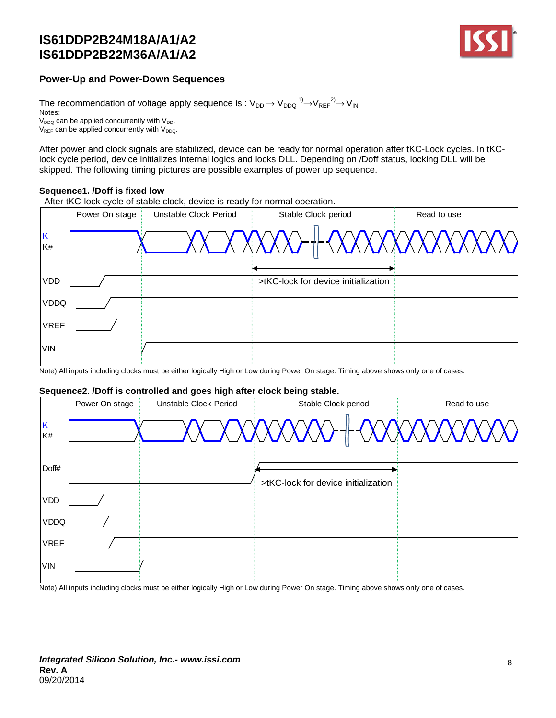

### **Power-Up and Power-Down Sequences**

The recommendation of voltage apply sequence is :  $\rm V_{DD} \!\rightarrow\! V_{DDQ} \rm ^{1)} \!\!\rightarrow\! V_{REF} \rm ^{2)} \!\!\rightarrow\! V_{IN}$ Notes:  $V_{DDQ}$  can be applied concurrently with  $V_{DDQ}$ .  $V_{REF}$  can be applied concurrently with  $V_{DDQ}$ .

After power and clock signals are stabilized, device can be ready for normal operation after tKC-Lock cycles. In tKClock cycle period, device initializes internal logics and locks DLL. Depending on /Doff status, locking DLL will be skipped. The following timing pictures are possible examples of power up sequence.

#### **Sequence1. /Doff is fixed low**

After tKC-lock cycle of stable clock, device is ready for normal operation.

|             |                | After tKC-lock cycle of stable clock, device is ready for normal operation. |                                     |             |
|-------------|----------------|-----------------------------------------------------------------------------|-------------------------------------|-------------|
|             | Power On stage | Unstable Clock Period                                                       | Stable Clock period                 | Read to use |
| K<br>K#     |                |                                                                             |                                     |             |
| <b>VDD</b>  |                |                                                                             | >tKC-lock for device initialization |             |
| <b>VDDQ</b> |                |                                                                             |                                     |             |
| <b>VREF</b> |                |                                                                             |                                     |             |
| <b>VIN</b>  |                |                                                                             |                                     |             |

Note) All inputs including clocks must be either logically High or Low during Power On stage. Timing above shows only one of cases.

#### **Sequence2. /Doff is controlled and goes high after clock being stable.**

|             |                | Sequence2. /Doff is controlled and goes high after clock being stable. |                                     |             |
|-------------|----------------|------------------------------------------------------------------------|-------------------------------------|-------------|
|             | Power On stage | Unstable Clock Period                                                  | Stable Clock period                 | Read to use |
| K<br>K#     |                |                                                                        |                                     |             |
| Doff#       |                |                                                                        | >tKC-lock for device initialization |             |
| <b>VDD</b>  |                |                                                                        |                                     |             |
| <b>VDDQ</b> |                |                                                                        |                                     |             |
| <b>VREF</b> |                |                                                                        |                                     |             |
| VIN         |                |                                                                        |                                     |             |

Note) All inputs including clocks must be either logically High or Low during Power On stage. Timing above shows only one of cases.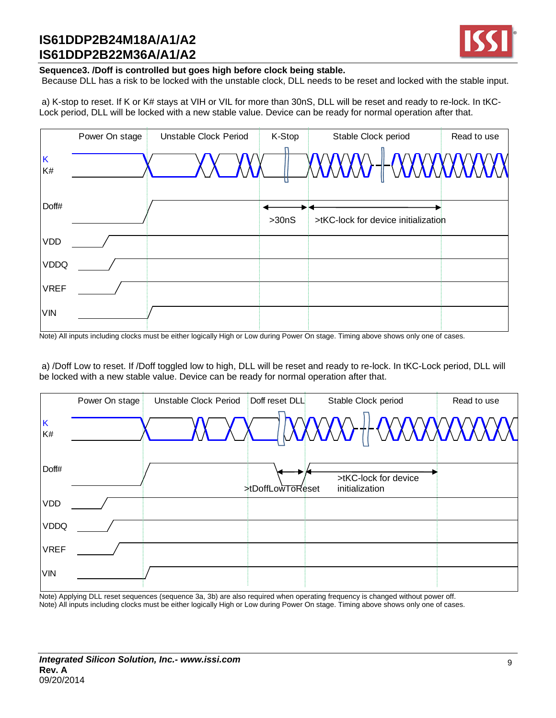

### **Sequence3. /Doff is controlled but goes high before clock being stable.**

Because DLL has a risk to be locked with the unstable clock, DLL needs to be reset and locked with the stable input.

a) K-stop to reset. If K or K# stays at VIH or VIL for more than 30nS, DLL will be reset and ready to re-lock. In tKC-Lock period, DLL will be locked with a new stable value. Device can be ready for normal operation after that.

|             | Power On stage | Unstable Clock Period | K-Stop | Stable Clock period                  | Read to use |
|-------------|----------------|-----------------------|--------|--------------------------------------|-------------|
|             |                |                       |        |                                      |             |
| Κ<br>K#     |                |                       |        | $\chi$ XXXXX) $\parallel$ (XXXXXXXXX |             |
|             |                |                       |        |                                      |             |
| Doff#       |                |                       |        |                                      |             |
|             |                |                       | >30nS  | >tKC-lock for device initialization  |             |
| <b>VDD</b>  |                |                       |        |                                      |             |
| <b>VDDQ</b> |                |                       |        |                                      |             |
| <b>VREF</b> |                |                       |        |                                      |             |
| <b>VIN</b>  |                |                       |        |                                      |             |

Note) All inputs including clocks must be either logically High or Low during Power On stage. Timing above shows only one of cases.

a) /Doff Low to reset. If /Doff toggled low to high, DLL will be reset and ready to re-lock. In tKC-Lock period, DLL will be locked with a new stable value. Device can be ready for normal operation after that.

|             | Power On stage | Unstable Clock Period | Doff reset DLL          | Stable Clock period                    | Read to use |
|-------------|----------------|-----------------------|-------------------------|----------------------------------------|-------------|
| K<br>K#     |                |                       |                         | I DOXOXO II OOXOXOXOXOX                |             |
| Doff#       |                |                       | <b>xtDoffLowToReset</b> | >tKC-lock for device<br>initialization |             |
| <b>VDD</b>  |                |                       |                         |                                        |             |
| <b>VDDQ</b> |                |                       |                         |                                        |             |
| <b>VREF</b> |                |                       |                         |                                        |             |
| VIN         |                |                       |                         |                                        |             |

Note) Applying DLL reset sequences (sequence 3a, 3b) are also required when operating frequency is changed without power off. Note) All inputs including clocks must be either logically High or Low during Power On stage. Timing above shows only one of cases.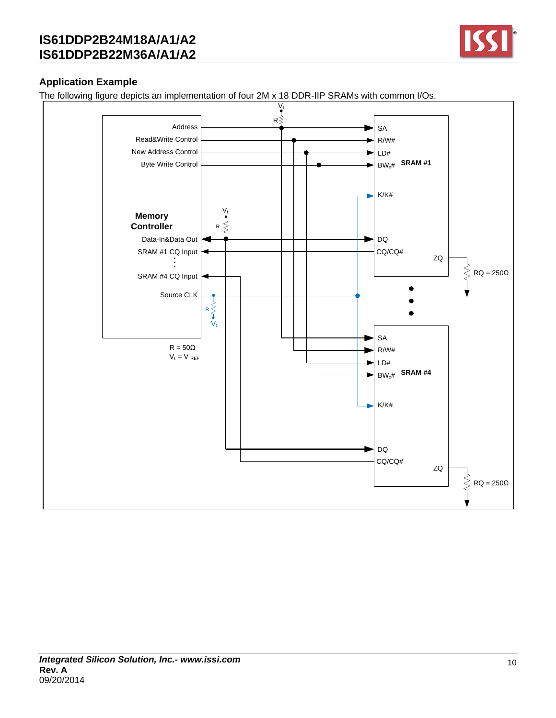

## **Application Example**

The following figure depicts an implementation of four 2M x 18 DDR-IIP SRAMs with common I/Os.

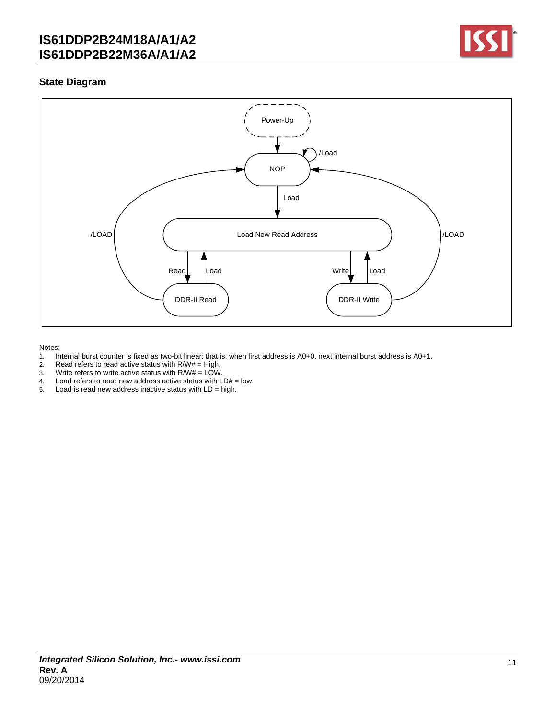

### **State Diagram**



#### Notes:

- 1. Internal burst counter is fixed as two-bit linear; that is, when first address is A0+0, next internal burst address is A0+1.<br>2. Read refers to read active status with R/W# = High.
- Read refers to read active status with  $R/W# = High$ .
- 3. Write refers to write active status with  $R/W# = LOW$ .
- 4. Load refers to read new address active status with  $LD# = low$ .
- 5. Load is read new address inactive status with LD = high.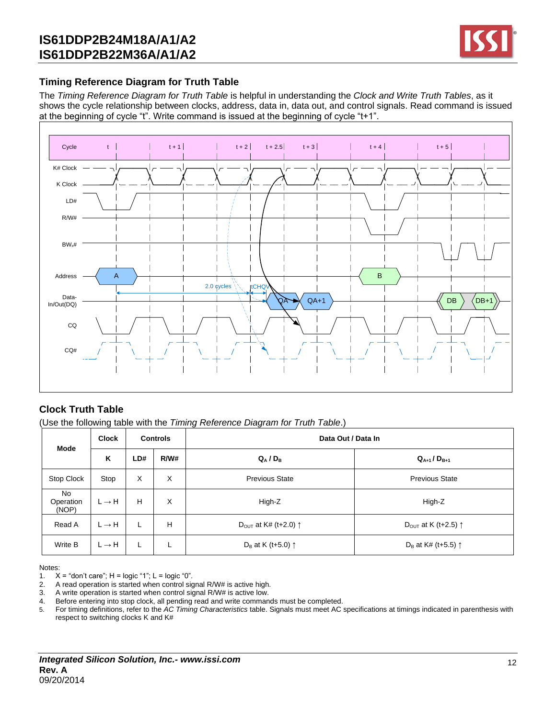

### **Timing Reference Diagram for Truth Table**

The *Timing Reference Diagram for Truth Table* is helpful in understanding the *Clock and Write Truth Tables*, as it shows the cycle relationship between clocks, address, data in, data out, and control signals. Read command is issued at the beginning of cycle "t". Write command is issued at the beginning of cycle "t+1".



## **Clock Truth Table**

(Use the following table with the *Timing Reference Diagram for Truth Table*.)

| <b>Mode</b>              | <b>Clock</b><br><b>Controls</b> |     |      | Data Out / Data In                        |                                          |  |  |  |  |
|--------------------------|---------------------------------|-----|------|-------------------------------------------|------------------------------------------|--|--|--|--|
|                          | Κ                               | LD# | R/W# | $Q_A/D_B$                                 | $Q_{A+1}$ / $D_{B+1}$                    |  |  |  |  |
| Stop Clock               | Stop                            | X   | X    | <b>Previous State</b>                     | <b>Previous State</b>                    |  |  |  |  |
| No<br>Operation<br>(NOP) | $L \rightarrow H$               | н   | X    | High-Z                                    | High-Z                                   |  |  |  |  |
| Read A                   | $L \rightarrow H$               | L   | н    | D <sub>OUT</sub> at K# (t+2.0) $\uparrow$ | D <sub>OUT</sub> at K (t+2.5) $\uparrow$ |  |  |  |  |
| Write B                  | $L \rightarrow H$               | L   | L.   | D <sub>B</sub> at K (t+5.0) $\uparrow$    | D <sub>B</sub> at K# (t+5.5) $\uparrow$  |  |  |  |  |

Notes:

1.  $X =$  "don't care";  $H =$  logic "1";  $L =$  logic "0".<br>2. A read operation is started when control side

A read operation is started when control signal R/W# is active high.

3. A write operation is started when control signal R/W# is active low.

4. Before entering into stop clock, all pending read and write commands must be completed.

5. For timing definitions, refer to the *AC Timing Characteristics* table. Signals must meet AC specifications at timings indicated in parenthesis with respect to switching clocks K and K#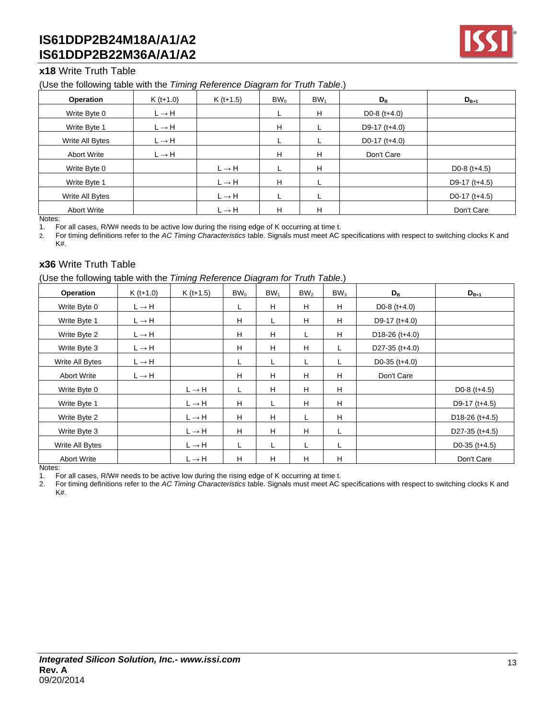

### **x18** Write Truth Table

#### (Use the following table with the *Timing Reference Diagram for Truth Table*.)

| Operation          | $K (t+1.0)$       | $K(t+1.5)$        | BW <sub>0</sub> | BW <sub>1</sub> | $D_{\rm B}$                 | $D_{B+1}$                    |
|--------------------|-------------------|-------------------|-----------------|-----------------|-----------------------------|------------------------------|
| Write Byte 0       | $L \rightarrow H$ |                   | ┗               | H               | D <sub>0</sub> -8 $(t+4.0)$ |                              |
| Write Byte 1       | $L \rightarrow H$ |                   | H               |                 | D9-17 $(t+4.0)$             |                              |
| Write All Bytes    | $L \rightarrow H$ |                   | ┕               | ┕               | D0-17 $(t+4.0)$             |                              |
| <b>Abort Write</b> | $L \rightarrow H$ |                   | H               | H               | Don't Care                  |                              |
| Write Byte 0       |                   | $L \rightarrow H$ |                 | H               |                             | D <sub>0</sub> -8 $(t+4.5)$  |
| Write Byte 1       |                   | $L \rightarrow H$ | H               |                 |                             | D9-17 $(t+4.5)$              |
| Write All Bytes    |                   | $L \rightarrow H$ |                 |                 |                             | D <sub>0</sub> -17 $(t+4.5)$ |
| <b>Abort Write</b> |                   | $L \rightarrow H$ | H               | н               |                             | Don't Care                   |

Notes:

1. For all cases, R/W# needs to be active low during the rising edge of K occurring at time t.

2. For timing definitions refer to the *AC Timing Characteristics* table. Signals must meet AC specifications with respect to switching clocks K and K#.

### **x36** Write Truth Table

(Use the following table with the *Timing Reference Diagram for Truth Table*.)

| Operation          | $K (t+1.0)$       | $K (t+1.5)$       | BW <sub>0</sub> | BW <sub>1</sub> | BW <sub>2</sub> | BW <sub>3</sub> | $D_{\rm B}$      | $D_{B+1}$                   |
|--------------------|-------------------|-------------------|-----------------|-----------------|-----------------|-----------------|------------------|-----------------------------|
| Write Byte 0       | $L \rightarrow H$ |                   | L               | H               | H               | H               | D0-8 $(t+4.0)$   |                             |
| Write Byte 1       | $L \rightarrow H$ |                   | H               | L               | H               | H               | D9-17 $(t+4.0)$  |                             |
| Write Byte 2       | $L \rightarrow H$ |                   | H               | H               | L.              | H               | $D18-26$ (t+4.0) |                             |
| Write Byte 3       | $L \rightarrow H$ |                   | H               | H               | H               |                 | D27-35 $(t+4.0)$ |                             |
| Write All Bytes    | $L \rightarrow H$ |                   | L               | L               | L               |                 | D0-35 $(t+4.0)$  |                             |
| <b>Abort Write</b> | $L \rightarrow H$ |                   | H               | H               | H               | H               | Don't Care       |                             |
| Write Byte 0       |                   | $L \rightarrow H$ | L               | H               | H               | H               |                  | D <sub>0</sub> -8 $(t+4.5)$ |
| Write Byte 1       |                   | $L \rightarrow H$ | H               |                 | H               | H               |                  | D9-17 $(t+4.5)$             |
| Write Byte 2       |                   | $L \rightarrow H$ | H               | H               | L               | H               |                  | $D18-26$ (t+4.5)            |
| Write Byte 3       |                   | $L \rightarrow H$ | H               | H               | H               | Г               |                  | D27-35 $(t+4.5)$            |
| Write All Bytes    |                   | $L \rightarrow H$ | L               | L               | L               |                 |                  | D0-35 $(t+4.5)$             |
| <b>Abort Write</b> |                   | $L \rightarrow H$ | H               | H               | H               | н               |                  | Don't Care                  |

Notes:

1. For all cases, R/W# needs to be active low during the rising edge of K occurring at time t.

2. For timing definitions refer to the *AC Timing Characteristics* table. Signals must meet AC specifications with respect to switching clocks K and K#.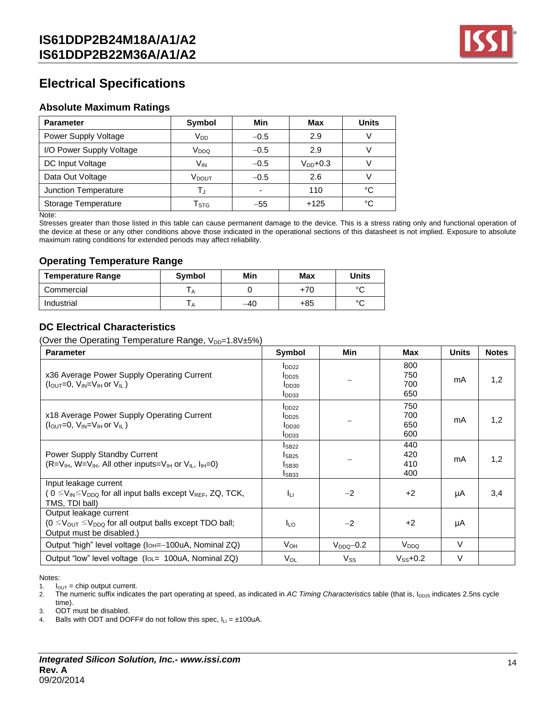

# **Electrical Specifications**

### **Absolute Maximum Ratings**

| <b>Parameter</b>         | Symbol                    | Min                      | Max           | <b>Units</b> |
|--------------------------|---------------------------|--------------------------|---------------|--------------|
| Power Supply Voltage     | $V_{DD}$                  | $-0.5$                   | 2.9           | \/           |
| I/O Power Supply Voltage | V <sub>DDQ</sub>          | $-0.5$                   | 2.9           |              |
| DC Input Voltage         | Vın                       | $-0.5$                   | $V_{DD}$ +0.3 |              |
| Data Out Voltage         | V <sub>DOUT</sub>         | $-0.5$                   | 2.6           |              |
| Junction Temperature     | $\mathsf{T}_{\mathrm{J}}$ | $\overline{\phantom{a}}$ | 110           | °C           |
| Storage Temperature      | $\mathsf{T}_{\text{STG}}$ | $-55$                    | $+125$        | °C           |

Note:

Stresses greater than those listed in this table can cause permanent damage to the device. This is a stress rating only and functional operation of the device at these or any other conditions above those indicated in the operational sections of this datasheet is not implied. Exposure to absolute maximum rating conditions for extended periods may affect reliability.

### **Operating Temperature Range**

| <b>Temperature Range</b> | <b>Symbol</b> | Min   | Max | <b>Units</b> |
|--------------------------|---------------|-------|-----|--------------|
| Commercial               |               |       | +70 | $\sim$       |
| Industrial               |               | $-40$ | +85 | $\sim$       |

### **DC Electrical Characteristics**

(Over the Operating Temperature Range,  $V_{DD}=1.8V\pm5\%$ )

| <b>Parameter</b>                                                                                                                                     | <b>Symbol</b>                                                      | Min            | Max                      | Units  | <b>Notes</b> |
|------------------------------------------------------------------------------------------------------------------------------------------------------|--------------------------------------------------------------------|----------------|--------------------------|--------|--------------|
| x36 Average Power Supply Operating Current<br>$(l_{\text{OUT}}=0, V_{\text{IN}}=V_{\text{IH}}$ or $V_{\text{II}}$ )                                  | $I_{DD22}$<br>$I_{DD25}$<br>I <sub>DD30</sub><br>I <sub>DD33</sub> |                | 800<br>750<br>700<br>650 | mA     | 1,2          |
| x18 Average Power Supply Operating Current<br>$(l_{\text{OUT}}=0, V_{\text{IN}}=V_{\text{IH}}$ or $V_{\text{II}}$ )                                  | $I_{DD22}$<br>$I_{DD25}$<br>I <sub>DD30</sub><br>I <sub>DD33</sub> |                | 750<br>700<br>650<br>600 | mA     | 1,2          |
| Power Supply Standby Current<br>$($ R=V <sub>IH</sub> , W=V <sub>IH</sub> . All other inputs=V <sub>IH</sub> or V <sub>IL</sub> , $I_{H}$ =0)        | $I_{SB22}$<br>IsB25<br>IsB30<br>ISB <sub>33</sub>                  |                | 440<br>420<br>410<br>400 | mA     | 1,2          |
| Input leakage current<br>( $0 \leq V_{\mathsf{IN}} \leq V_{\mathsf{DDQ}}$ for all input balls except $V_{\mathsf{REF}}$ , ZQ, TCK,<br>TMS, TDI ball) | Īц                                                                 | $-2$           | $+2$                     | μA     | 3,4          |
| Output leakage current<br>$(0 \leq V_{\text{OUT}} \leq V_{\text{DDQ}}$ for all output balls except TDO ball;<br>Output must be disabled.)            | ILO.                                                               | $-2$           | $+2$                     | μA     |              |
| Output "high" level voltage (IoH=-100uA, Nominal ZQ)                                                                                                 | Vон                                                                | $V_{DDO}$ -0.2 | V <sub>DDQ</sub>         | $\vee$ |              |
| Output "low" level voltage (loL= 100uA, Nominal ZQ)                                                                                                  | V <sub>OL</sub>                                                    | $V_{SS}$       | $V_{SS}$ +0.2            | $\vee$ |              |

Notes:

1.  $I_{OUT} = chip output current$ .

2. The numeric suffix indicates the part operating at speed, as indicated in *AC Timing Characteristics* table (that is, I<sub>DD25</sub> indicates 2.5ns cycle

time).

3. ODT must be disabled.

4. Balls with ODT and DOFF# do not follow this spec,  $I_{LI} = \pm 100uA$ .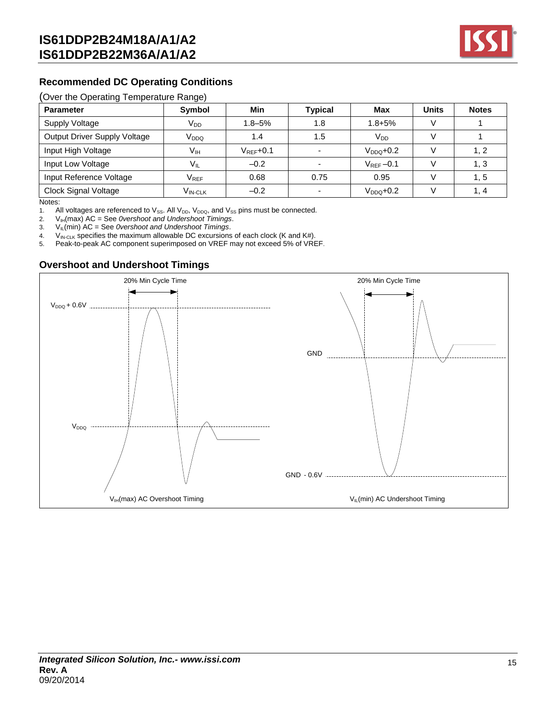

## **Recommended DC Operating Conditions**

#### (Over the Operating Temperature Range)

| <b>Parameter</b>             | Symbol                      | Min            | <b>Typical</b> | Max             | <b>Units</b> | <b>Notes</b> |
|------------------------------|-----------------------------|----------------|----------------|-----------------|--------------|--------------|
| <b>Supply Voltage</b>        | $V_{DD}$                    | $1.8 - 5%$     | 1.8            | $1.8 + 5%$      |              |              |
| Output Driver Supply Voltage | V <sub>DDQ</sub>            | 1.4            | 1.5            | $V_{DD}$        |              |              |
| Input High Voltage           | Vıн                         | $V_{REF}$ +0.1 |                | $V_{DDO} + 0.2$ |              | 1. 2         |
| Input Low Voltage            | $V_{IL}$                    | $-0.2$         |                | $V_{REF}-0.1$   |              | 1, 3         |
| Input Reference Voltage      | $\mathsf{V}_{\mathsf{REF}}$ | 0.68           | 0.75           | 0.95            |              | 1, 5         |
| Clock Signal Voltage         | $\rm V_{IN\text{-}CLK}$     | $-0.2$         |                | $VDDO+0.2$      |              | 1.4          |

Notes:

1. All voltages are referenced to  $V_{SS}$ . All  $V_{DD}$ ,  $V_{DDQ}$ , and  $V_{SS}$  pins must be connected.

2. V<sub>IH</sub>(max) AC = See *0vershoot and Undershoot Timings*.

3. VIL(min) AC = See *0vershoot and Undershoot Timings*.

4. V<sub>IN-CLK</sub> specifies the maximum allowable DC excursions of each clock (K and K#).

5. Peak-to-peak AC component superimposed on VREF may not exceed 5% of VREF.

### **Overshoot and Undershoot Timings**

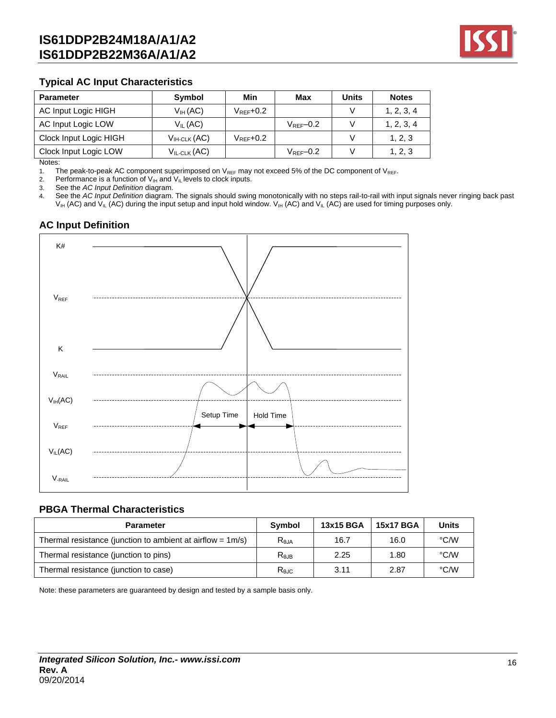

### **Typical AC Input Characteristics**

| <b>Parameter</b>       | Symbol                  | Min                    | Max                    | Units | <b>Notes</b> |
|------------------------|-------------------------|------------------------|------------------------|-------|--------------|
| AC Input Logic HIGH    | $V_H$ (AC)              | $V_{\text{RFF}} + 0.2$ |                        |       | 1, 2, 3, 4   |
| AC Input Logic LOW     | $V_{IL}$ (AC)           |                        | $V_{\text{RFF}} - 0.2$ |       | 1, 2, 3, 4   |
| Clock Input Logic HIGH | $V_{H\text{-}CLK}$ (AC) | $V_{\text{RFF}}$ +0.2  |                        |       | 1, 2, 3      |
| Clock Input Logic LOW  | $V_{IL-CLK}(AC)$        |                        | $V_{\text{RFF}} - 0.2$ |       | 1, 2, 3      |

Notes:

1. The peak-to-peak AC component superimposed on  $V_{REF}$  may not exceed 5% of the DC component of  $V_{REF}$ .<br>2. Performance is a function of  $V_{IH}$  and  $V_{IL}$  levels to clock inputs.

Performance is a function of  $V_{I\!H}$  and  $V_{I\!L}$  levels to clock inputs.

3. See the *AC Input Definition* diagram.

4. See the *AC Input Definition* diagram. The signals should swing monotonically with no steps rail-to-rail with input signals never ringing back past  $V_{IH}$  (AC) and  $V_{IL}$  (AC) during the input setup and input hold window.  $V_{IH}$  (AC) and  $V_{IL}$  (AC) are used for timing purposes only.

## **AC Input Definition**



#### **PBGA Thermal Characteristics**

| <b>Parameter</b>                                              | Symbol     | 13x15 BGA | <b>15x17 BGA</b> | <b>Units</b> |
|---------------------------------------------------------------|------------|-----------|------------------|--------------|
| Thermal resistance (junction to ambient at airflow = $1m/s$ ) | $R_{0,IA}$ | 16.7      | 16.0             | °C/W         |
| Thermal resistance (junction to pins)                         | $R_{0,IB}$ | 2.25      | 1.80             | °C/W         |
| Thermal resistance (junction to case)                         | $R_{0,IC}$ | 3.11      | 2.87             | °C/W         |

Note: these parameters are guaranteed by design and tested by a sample basis only.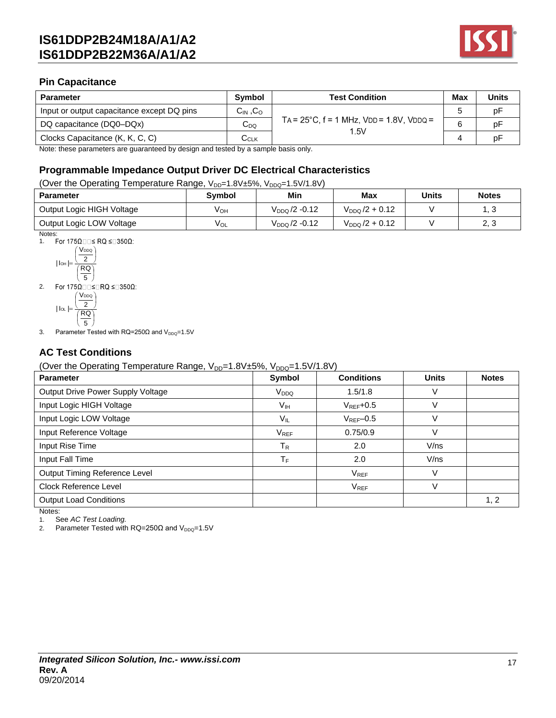

### **Pin Capacitance**

| <b>Parameter</b>                           | <b>Symbol</b>      | <b>Test Condition</b>                                     | Max | <b>Units</b> |
|--------------------------------------------|--------------------|-----------------------------------------------------------|-----|--------------|
| Input or output capacitance except DQ pins | $C_{IN}$ , $C_{O}$ |                                                           |     | p⊦           |
| DQ capacitance (DQ0-DQx)                   | $C_{DQ}$           | $TA = 25^{\circ}C$ , $f = 1$ MHz, $VDD = 1.8V$ , $VDDQ =$ |     | рF           |
| Clocks Capacitance (K, K, C, C)            | ∪clκ               | 1.5V                                                      |     | рF           |

Note: these parameters are guaranteed by design and tested by a sample basis only.

### **Programmable Impedance Output Driver DC Electrical Characteristics**

(Over the Operating Temperature Range,  $V_{DD}=1.8V\pm5\%$ ,  $V_{DDQ}=1.5V/1.8V$ )

| <b>Parameter</b>          | <b>Symbol</b> | Min                       | <b>Max</b>          | <b>Units</b> | <b>Notes</b>     |
|---------------------------|---------------|---------------------------|---------------------|--------------|------------------|
| Output Logic HIGH Voltage | Vон           | $V_{DDQ}$ /2 -0.12        | $V_{DDQ}/2 + 0.12$  |              | ن. ا             |
| Output Logic LOW Voltage  | $V_{OL}$      | V <sub>DDQ</sub> /2 -0.12 | $V_{DDQ}$ /2 + 0.12 |              | <u>റാ</u><br>ن , |

Notes:

1. For  $175\Omega \Box \Box \leq RQ \leq \Box 350\Omega$ :

$$
|\ln| = \frac{\left(\frac{V_{DDQ}}{2}\right)}{\left(\frac{RQ}{5}\right)}
$$

2. For  $175\Omega \square \leq \square RQ \leq \square 350\Omega$ :

$$
|\ln| = \frac{\left(\frac{V_{DDQ}}{2}\right)}{\left(\frac{RQ}{5}\right)}
$$

3. Parameter Tested with  $RQ=250\Omega$  and  $V_{DDQ}=1.5V$ 

## **AC Test Conditions**

(Over the Operating Temperature Range,  $V_{DD}=1.8V\pm5\%$ ,  $V_{DDO}=1.5V/1.8V$ )

| <b>Parameter</b>                  | שטש<br>Symbol          | <b>Conditions</b> | <b>Units</b> | <b>Notes</b> |
|-----------------------------------|------------------------|-------------------|--------------|--------------|
| Output Drive Power Supply Voltage | V <sub>DDQ</sub>       | 1.5/1.8           | V            |              |
| Input Logic HIGH Voltage          | Vıн                    | $V_{REF}$ +0.5    | $\vee$       |              |
| Input Logic LOW Voltage           | $V_{IL}$               | $V_{REF}$ -0.5    | V            |              |
| Input Reference Voltage           | <b>V<sub>REF</sub></b> | 0.75/0.9          | V            |              |
| Input Rise Time                   | $T_R$                  | 2.0               | V/ns         |              |
| Input Fall Time                   | $T_F$                  | 2.0               | V/ns         |              |
| Output Timing Reference Level     |                        | $V_{REF}$         | $\vee$       |              |
| <b>Clock Reference Level</b>      |                        | $V_{REF}$         | V            |              |
| <b>Output Load Conditions</b>     |                        |                   |              | 1, 2         |
| N                                 |                        |                   |              |              |

Notes:

1. See *AC Test Loading.*

2. Parameter Tested with  $RQ=250\Omega$  and  $V_{DDQ}=1.5V$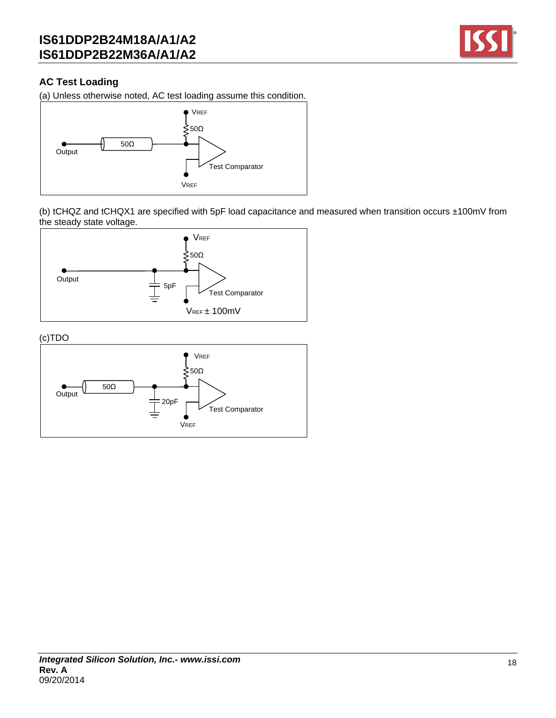

## **AC Test Loading**

(a) Unless otherwise noted, AC test loading assume this condition.



(b) tCHQZ and tCHQX1 are specified with 5pF load capacitance and measured when transition occurs ±100mV from the steady state voltage.



(c)TDO

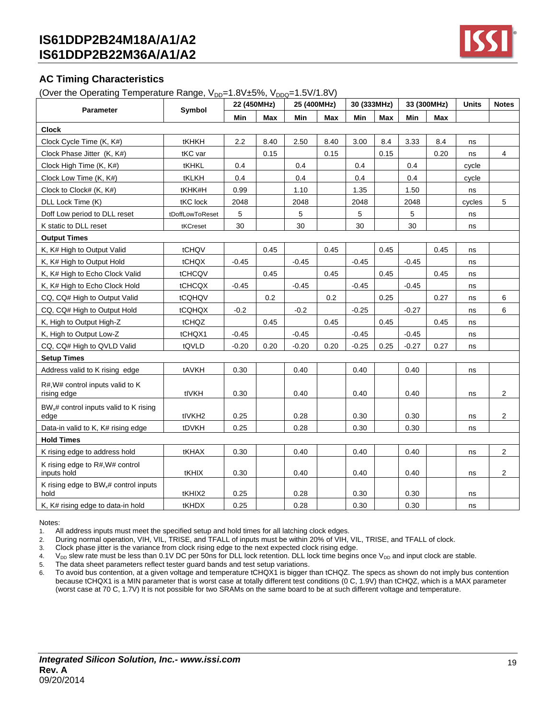

## **AC Timing Characteristics**

(Over the Operating Temperature Range,  $V_{DD}=1.8V\pm5\%$ ,  $V_{DDQ}=1.5V/1.8V$ )

|                                                           |                    | 22 (450MHz) |      | 25 (400MHz) |      | 30 (333MHz) |            |         | 33 (300MHz) | <b>Units</b> | <b>Notes</b>   |
|-----------------------------------------------------------|--------------------|-------------|------|-------------|------|-------------|------------|---------|-------------|--------------|----------------|
| <b>Parameter</b>                                          | Symbol             | Min         | Max  | Min         | Max  | Min         | <b>Max</b> | Min     | Max         |              |                |
| <b>Clock</b>                                              |                    |             |      |             |      |             |            |         |             |              |                |
| Clock Cycle Time (K, K#)                                  | tKHKH              | 2.2         | 8.40 | 2.50        | 8.40 | 3.00        | 8.4        | 3.33    | 8.4         | ns           |                |
| Clock Phase Jitter (K, K#)                                | tKC var            |             | 0.15 |             | 0.15 |             | 0.15       |         | 0.20        | ns           | 4              |
| Clock High Time (K, K#)                                   | tKHKL              | 0.4         |      | 0.4         |      | 0.4         |            | 0.4     |             | cycle        |                |
| Clock Low Time (K, K#)                                    | tKLKH              | 0.4         |      | 0.4         |      | 0.4         |            | 0.4     |             | cycle        |                |
| Clock to Clock# (K, K#)                                   | tKHK#H             | 0.99        |      | 1.10        |      | 1.35        |            | 1.50    |             | ns           |                |
| DLL Lock Time (K)                                         | tKC lock           | 2048        |      | 2048        |      | 2048        |            | 2048    |             | cycles       | 5              |
| Doff Low period to DLL reset                              | tDoffLowToReset    | 5           |      | 5           |      | 5           |            | 5       |             | ns           |                |
| K static to DLL reset                                     | tKCreset           | 30          |      | 30          |      | 30          |            | 30      |             | ns           |                |
| <b>Output Times</b>                                       |                    |             |      |             |      |             |            |         |             |              |                |
| K, K# High to Output Valid                                | tCHQV              |             | 0.45 |             | 0.45 |             | 0.45       |         | 0.45        | ns           |                |
| K, K# High to Output Hold                                 | tCHQX              | $-0.45$     |      | $-0.45$     |      | $-0.45$     |            | $-0.45$ |             | ns           |                |
| K, K# High to Echo Clock Valid                            | tCHCQV             |             | 0.45 |             | 0.45 |             | 0.45       |         | 0.45        | ns           |                |
| K, K# High to Echo Clock Hold                             | tCHCQX             | $-0.45$     |      | $-0.45$     |      | $-0.45$     |            | $-0.45$ |             | ns           |                |
| CQ, CQ# High to Output Valid                              | tCQHQV             |             | 0.2  |             | 0.2  |             | 0.25       |         | 0.27        | ns           | 6              |
| CQ, CQ# High to Output Hold                               | tCQHQX             | $-0.2$      |      | $-0.2$      |      | $-0.25$     |            | $-0.27$ |             | ns           | 6              |
| K, High to Output High-Z                                  | tCHQZ              |             | 0.45 |             | 0.45 |             | 0.45       |         | 0.45        | ns           |                |
| K, High to Output Low-Z                                   | tCHQX1             | $-0.45$     |      | $-0.45$     |      | $-0.45$     |            | $-0.45$ |             | ns           |                |
| CQ, CQ# High to QVLD Valid                                | tQVLD              | $-0.20$     | 0.20 | $-0.20$     | 0.20 | $-0.25$     | 0.25       | $-0.27$ | 0.27        | ns           |                |
| <b>Setup Times</b>                                        |                    |             |      |             |      |             |            |         |             |              |                |
| Address valid to K rising edge                            | tAVKH              | 0.30        |      | 0.40        |      | 0.40        |            | 0.40    |             | ns           |                |
| R#, W# control inputs valid to K<br>rising edge           | tIVKH              | 0.30        |      | 0.40        |      | 0.40        |            | 0.40    |             | ns           | $\overline{c}$ |
| $BWx$ # control inputs valid to K rising<br>edge          | tlVKH <sub>2</sub> | 0.25        |      | 0.28        |      | 0.30        |            | 0.30    |             | ns           | $\overline{c}$ |
| Data-in valid to K, K# rising edge                        | tDVKH              | 0.25        |      | 0.28        |      | 0.30        |            | 0.30    |             | ns           |                |
| <b>Hold Times</b>                                         |                    |             |      |             |      |             |            |         |             |              |                |
| K rising edge to address hold                             | tKHAX              | 0.30        |      | 0.40        |      | 0.40        |            | 0.40    |             | ns           | 2              |
| K rising edge to R#, W# control<br>inputs hold            | tKHIX              | 0.30        |      | 0.40        |      | 0.40        |            | 0.40    |             | ns           | 2              |
| K rising edge to BW <sub>x</sub> # control inputs<br>hold | tKHIX2             | 0.25        |      | 0.28        |      | 0.30        |            | 0.30    |             | ns           |                |
| K, K# rising edge to data-in hold                         | tKHDX              | 0.25        |      | 0.28        |      | 0.30        |            | 0.30    |             | ns           |                |

Notes:

1. All address inputs must meet the specified setup and hold times for all latching clock edges.

2. During normal operation, VIH, VIL, TRISE, and TFALL of inputs must be within 20% of VIH, VIL, TRISE, and TFALL of clock.

3. Clock phase jitter is the variance from clock rising edge to the next expected clock rising edge.

4. V<sub>DD</sub> slew rate must be less than 0.1V DC per 50ns for DLL lock retention. DLL lock time begins once V<sub>DD</sub> and input clock are stable.

5. The data sheet parameters reflect tester guard bands and test setup variations.

6. To avoid bus contention, at a given voltage and temperature tCHQX1 is bigger than tCHQZ. The specs as shown do not imply bus contention because tCHQX1 is a MIN parameter that is worst case at totally different test conditions (0 C, 1.9V) than tCHQZ, which is a MAX parameter (worst case at 70 C, 1.7V) It is not possible for two SRAMs on the same board to be at such different voltage and temperature.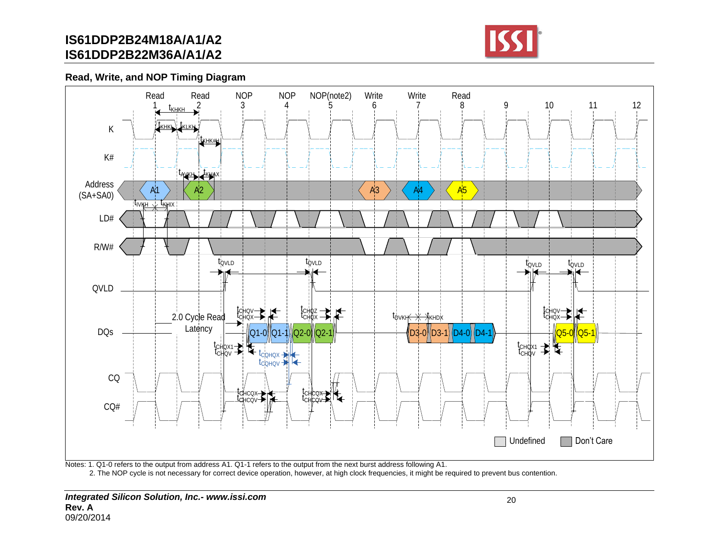

**Read, Write, and NOP Timing Diagram**



Notes: 1. Q1-0 refers to the output from address A1. Q1-1 refers to the output from the next burst address following A1.

2. The NOP cycle is not necessary for correct device operation, however, at high clock frequencies, it might be required to prevent bus contention.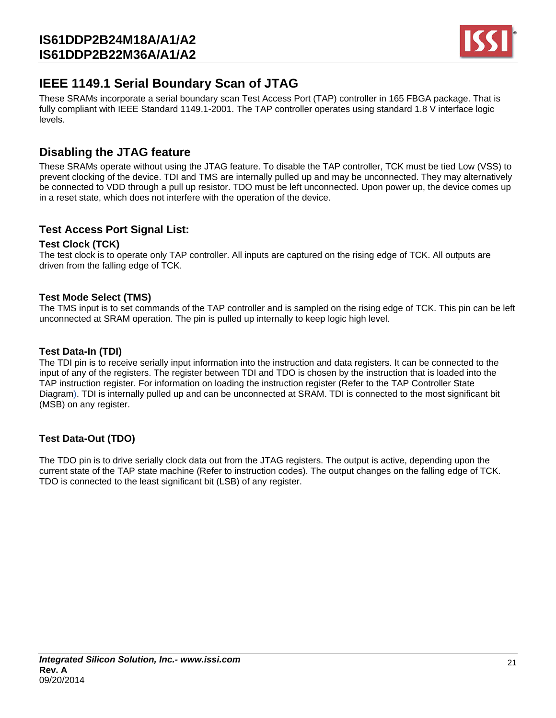

# **IEEE 1149.1 Serial Boundary Scan of JTAG**

These SRAMs incorporate a serial boundary scan Test Access Port (TAP) controller in 165 FBGA package. That is fully compliant with IEEE Standard 1149.1-2001. The TAP controller operates using standard 1.8 V interface logic levels.

## **Disabling the JTAG feature**

These SRAMs operate without using the JTAG feature. To disable the TAP controller, TCK must be tied Low (VSS) to prevent clocking of the device. TDI and TMS are internally pulled up and may be unconnected. They may alternatively be connected to VDD through a pull up resistor. TDO must be left unconnected. Upon power up, the device comes up in a reset state, which does not interfere with the operation of the device.

## **Test Access Port Signal List:**

### **Test Clock (TCK)**

The test clock is to operate only TAP controller. All inputs are captured on the rising edge of TCK. All outputs are driven from the falling edge of TCK.

### **Test Mode Select (TMS)**

The TMS input is to set commands of the TAP controller and is sampled on the rising edge of TCK. This pin can be left unconnected at SRAM operation. The pin is pulled up internally to keep logic high level.

### **Test Data-In (TDI)**

The TDI pin is to receive serially input information into the instruction and data registers. It can be connected to the input of any of the registers. The register between TDI and TDO is chosen by the instruction that is loaded into the TAP instruction register. For information on loading the instruction register (Refer to the TAP Controller State Diagram). TDI is internally pulled up and can be unconnected at SRAM. TDI is connected to the most significant bit (MSB) on any register.

## **Test Data-Out (TDO)**

The TDO pin is to drive serially clock data out from the JTAG registers. The output is active, depending upon the current state of the TAP state machine (Refer to instruction codes). The output changes on the falling edge of TCK. TDO is connected to the least significant bit (LSB) of any register.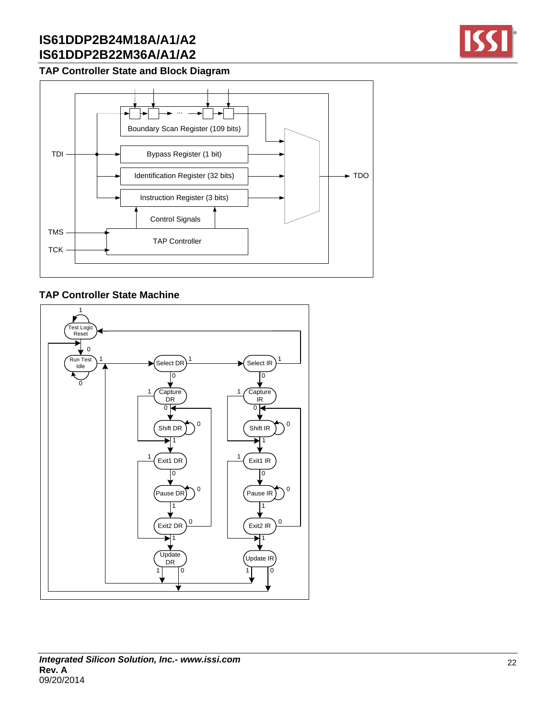

## **TAP Controller State and Block Diagram**



### **TAP Controller State Machine**

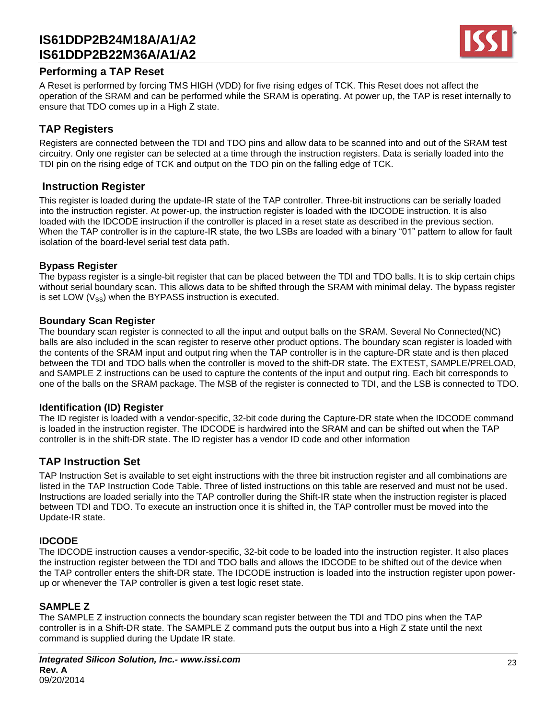

### **Performing a TAP Reset**

A Reset is performed by forcing TMS HIGH (VDD) for five rising edges of TCK. This Reset does not affect the operation of the SRAM and can be performed while the SRAM is operating. At power up, the TAP is reset internally to ensure that TDO comes up in a High Z state.

## **TAP Registers**

Registers are connected between the TDI and TDO pins and allow data to be scanned into and out of the SRAM test circuitry. Only one register can be selected at a time through the instruction registers. Data is serially loaded into the TDI pin on the rising edge of TCK and output on the TDO pin on the falling edge of TCK.

## **Instruction Register**

This register is loaded during the update-IR state of the TAP controller. Three-bit instructions can be serially loaded into the instruction register. At power-up, the instruction register is loaded with the IDCODE instruction. It is also loaded with the IDCODE instruction if the controller is placed in a reset state as described in the previous section. When the TAP controller is in the capture-IR state, the two LSBs are loaded with a binary "01" pattern to allow for fault isolation of the board-level serial test data path.

### **Bypass Register**

The bypass register is a single-bit register that can be placed between the TDI and TDO balls. It is to skip certain chips without serial boundary scan. This allows data to be shifted through the SRAM with minimal delay. The bypass register is set LOW  $(V_{SS})$  when the BYPASS instruction is executed.

### **Boundary Scan Register**

The boundary scan register is connected to all the input and output balls on the SRAM. Several No Connected(NC) balls are also included in the scan register to reserve other product options. The boundary scan register is loaded with the contents of the SRAM input and output ring when the TAP controller is in the capture-DR state and is then placed between the TDI and TDO balls when the controller is moved to the shift-DR state. The EXTEST, SAMPLE/PRELOAD, and SAMPLE Z instructions can be used to capture the contents of the input and output ring. Each bit corresponds to one of the balls on the SRAM package. The MSB of the register is connected to TDI, and the LSB is connected to TDO.

### **Identification (ID) Register**

The ID register is loaded with a vendor-specific, 32-bit code during the Capture-DR state when the IDCODE command is loaded in the instruction register. The IDCODE is hardwired into the SRAM and can be shifted out when the TAP controller is in the shift-DR state. The ID register has a vendor ID code and other information

## **TAP Instruction Set**

TAP Instruction Set is available to set eight instructions with the three bit instruction register and all combinations are listed in the TAP Instruction Code Table. Three of listed instructions on this table are reserved and must not be used. Instructions are loaded serially into the TAP controller during the Shift-IR state when the instruction register is placed between TDI and TDO. To execute an instruction once it is shifted in, the TAP controller must be moved into the Update-IR state.

### **IDCODE**

The IDCODE instruction causes a vendor-specific, 32-bit code to be loaded into the instruction register. It also places the instruction register between the TDI and TDO balls and allows the IDCODE to be shifted out of the device when the TAP controller enters the shift-DR state. The IDCODE instruction is loaded into the instruction register upon powerup or whenever the TAP controller is given a test logic reset state.

### **SAMPLE Z**

The SAMPLE Z instruction connects the boundary scan register between the TDI and TDO pins when the TAP controller is in a Shift-DR state. The SAMPLE Z command puts the output bus into a High Z state until the next command is supplied during the Update IR state.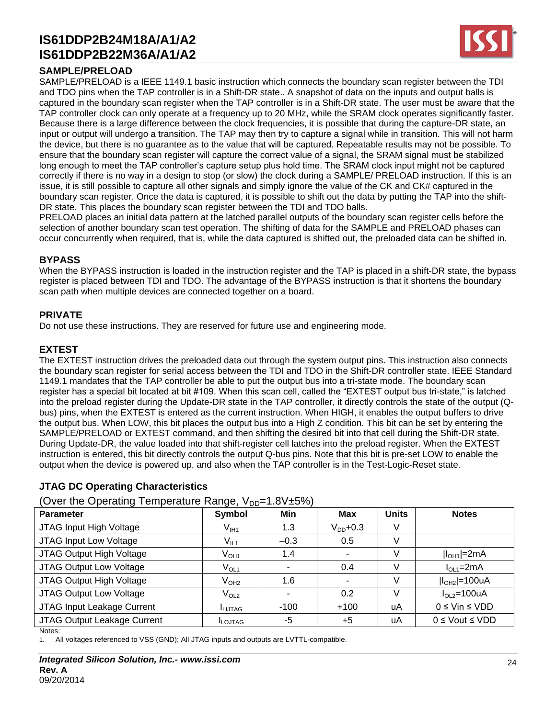### **SAMPLE/PRELOAD**

SAMPLE/PRELOAD is a IEEE 1149.1 basic instruction which connects the boundary scan register between the TDI and TDO pins when the TAP controller is in a Shift-DR state.. A snapshot of data on the inputs and output balls is captured in the boundary scan register when the TAP controller is in a Shift-DR state. The user must be aware that the TAP controller clock can only operate at a frequency up to 20 MHz, while the SRAM clock operates significantly faster. Because there is a large difference between the clock frequencies, it is possible that during the capture-DR state, an input or output will undergo a transition. The TAP may then try to capture a signal while in transition. This will not harm the device, but there is no guarantee as to the value that will be captured. Repeatable results may not be possible. To ensure that the boundary scan register will capture the correct value of a signal, the SRAM signal must be stabilized long enough to meet the TAP controller's capture setup plus hold time. The SRAM clock input might not be captured correctly if there is no way in a design to stop (or slow) the clock during a SAMPLE/ PRELOAD instruction. If this is an issue, it is still possible to capture all other signals and simply ignore the value of the CK and CK# captured in the boundary scan register. Once the data is captured, it is possible to shift out the data by putting the TAP into the shift-DR state. This places the boundary scan register between the TDI and TDO balls.

PRELOAD places an initial data pattern at the latched parallel outputs of the boundary scan register cells before the selection of another boundary scan test operation. The shifting of data for the SAMPLE and PRELOAD phases can occur concurrently when required, that is, while the data captured is shifted out, the preloaded data can be shifted in.

### **BYPASS**

When the BYPASS instruction is loaded in the instruction register and the TAP is placed in a shift-DR state, the bypass register is placed between TDI and TDO. The advantage of the BYPASS instruction is that it shortens the boundary scan path when multiple devices are connected together on a board.

### **PRIVATE**

Do not use these instructions. They are reserved for future use and engineering mode.

### **EXTEST**

The EXTEST instruction drives the preloaded data out through the system output pins. This instruction also connects the boundary scan register for serial access between the TDI and TDO in the Shift-DR controller state. IEEE Standard 1149.1 mandates that the TAP controller be able to put the output bus into a tri-state mode. The boundary scan register has a special bit located at bit #109. When this scan cell, called the "EXTEST output bus tri-state," is latched into the preload register during the Update-DR state in the TAP controller, it directly controls the state of the output (Qbus) pins, when the EXTEST is entered as the current instruction. When HIGH, it enables the output buffers to drive the output bus. When LOW, this bit places the output bus into a High Z condition. This bit can be set by entering the SAMPLE/PRELOAD or EXTEST command, and then shifting the desired bit into that cell during the Shift-DR state. During Update-DR, the value loaded into that shift-register cell latches into the preload register. When the EXTEST instruction is entered, this bit directly controls the output Q-bus pins. Note that this bit is pre-set LOW to enable the output when the device is powered up, and also when the TAP controller is in the Test-Logic-Reset state.

## **JTAG DC Operating Characteristics**

(Over the Operating Temperature Range,  $V_{\text{pp}=1.8V+5\%}$ )

| $\sim$ . The operating Tomporature Range, $\sqrt{D}$ is $\sim$ 2010 |                |         |                          |              |                         |  |  |  |  |
|---------------------------------------------------------------------|----------------|---------|--------------------------|--------------|-------------------------|--|--|--|--|
| <b>Parameter</b>                                                    | Symbol         | Min     | Max                      | <b>Units</b> | <b>Notes</b>            |  |  |  |  |
| JTAG Input High Voltage                                             | $V_{I H1}$     | 1.3     | $V_{DD}$ +0.3            | V            |                         |  |  |  |  |
| JTAG Input Low Voltage                                              | $V_{IL1}$      | $-0.3$  | 0.5                      | V            |                         |  |  |  |  |
| JTAG Output High Voltage                                            | $V_{OH1}$      | 1.4     | $\overline{\phantom{a}}$ | v            | $ I_{OH1} =2mA$         |  |  |  |  |
| JTAG Output Low Voltage                                             | $V_{OL1}$      |         | 0.4                      | V            | $IOL1=2mA$              |  |  |  |  |
| JTAG Output High Voltage                                            | $\rm V_{OH2}$  | $1.6\,$ | $\overline{\phantom{0}}$ | v            | $ I_{OH2} $ =100uA      |  |  |  |  |
| JTAG Output Low Voltage                                             | $\rm V_{OL2}$  |         | 0.2                      | V            | $IOL2=100uA$            |  |  |  |  |
| JTAG Input Leakage Current                                          | <b>ILIJTAG</b> | $-100$  | $+100$                   | uA           | $0 \leq$ Vin $\leq$ VDD |  |  |  |  |
| JTAG Output Leakage Current                                         | <b>ILOJTAG</b> | -5      | $+5$                     | uA           | $0 \le$ Vout $\le$ VDD  |  |  |  |  |
| Notes:                                                              |                |         |                          |              |                         |  |  |  |  |

1. All voltages referenced to VSS (GND); All JTAG inputs and outputs are LVTTL-compatible.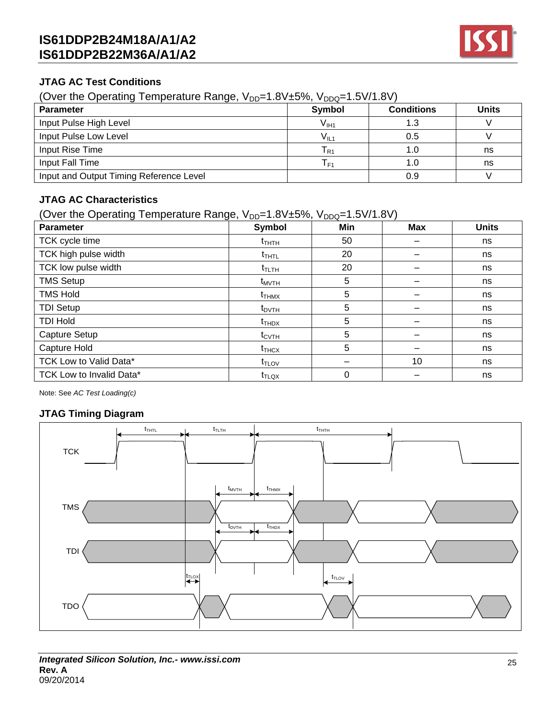

### **JTAG AC Test Conditions**

(Over the Operating Temperature Range,  $V_{DD}=1.8V\pm5\%$ ,  $V_{DDQ}=1.5V/1.8V$ )

| <b>Parameter</b>                        | <b>Symbol</b> | <b>Conditions</b> | <b>Units</b> |
|-----------------------------------------|---------------|-------------------|--------------|
| Input Pulse High Level                  | $V_{III1}$    | 1.3               |              |
| Input Pulse Low Level                   | $V_{IL1}$     | 0.5               |              |
| Input Rise Time                         | l R1          | 1.0               | ns           |
| Input Fall Time                         | l F1          | 1.0               | ns           |
| Input and Output Timing Reference Level |               | 0.9               |              |

## **JTAG AC Characteristics**

(Over the Operating Temperature Range,  $V_{DD}=1.8V\pm5\%$ ,  $V_{DDQ}=1.5V/1.8V$ )

| <b>Parameter</b>         | Symbol            | Min      | <b>Max</b> | <b>Units</b> |
|--------------------------|-------------------|----------|------------|--------------|
| TCK cycle time           | $t_{THTH}$        | 50       |            | ns           |
| TCK high pulse width     | $t_{THTL}$        | 20       |            | ns           |
| TCK low pulse width      | $t_{\text{TLTH}}$ | 20       |            | ns           |
| <b>TMS Setup</b>         | $t_{MVTH}$        | 5        |            | ns           |
| <b>TMS Hold</b>          | $t_{THMX}$        | 5        |            | ns           |
| <b>TDI Setup</b>         | $t_{\text{DVTH}}$ | 5        |            | ns           |
| <b>TDI Hold</b>          | $t_{THDX}$        | 5        |            | ns           |
| Capture Setup            | $t_{\text{CVTH}}$ | 5        |            | ns           |
| Capture Hold             | $t_{THCX}$        | 5        |            | ns           |
| TCK Low to Valid Data*   | $t_{TLOV}$        |          | 10         | ns           |
| TCK Low to Invalid Data* | $t_{\text{TLQX}}$ | $\Omega$ |            | ns           |

Note: See *AC Test Loading(c)*

## **JTAG Timing Diagram**

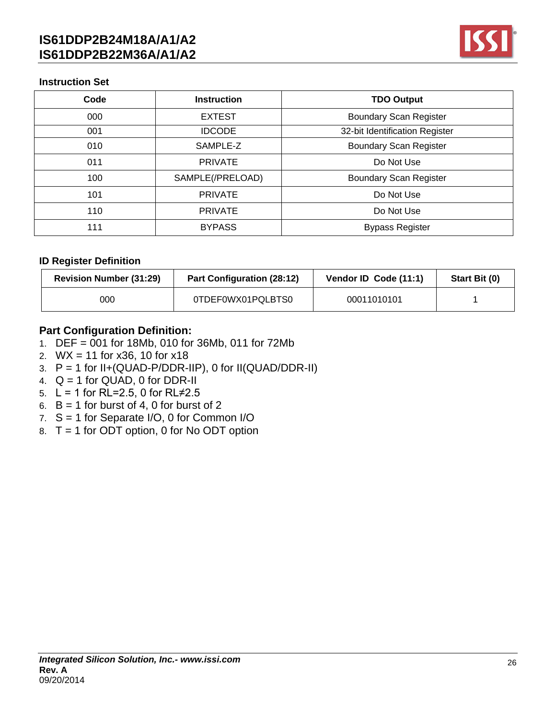

### **Instruction Set**

| Code | <b>Instruction</b> | <b>TDO Output</b>              |  |
|------|--------------------|--------------------------------|--|
| 000  | <b>EXTEST</b>      | <b>Boundary Scan Register</b>  |  |
| 001  | <b>IDCODE</b>      | 32-bit Identification Register |  |
| 010  | SAMPLE-Z           | <b>Boundary Scan Register</b>  |  |
| 011  | <b>PRIVATE</b>     | Do Not Use                     |  |
| 100  | SAMPLE(/PRELOAD)   | <b>Boundary Scan Register</b>  |  |
| 101  | <b>PRIVATE</b>     | Do Not Use                     |  |
| 110  | <b>PRIVATE</b>     | Do Not Use                     |  |
| 111  | <b>BYPASS</b>      | <b>Bypass Register</b>         |  |

### **ID Register Definition**

| <b>Revision Number (31:29)</b> | <b>Part Configuration (28:12)</b> | Vendor ID Code (11:1) | Start Bit (0) |
|--------------------------------|-----------------------------------|-----------------------|---------------|
| 000                            | 0TDEF0WX01PQLBTS0                 | 00011010101           |               |

## **Part Configuration Definition:**

- 1. DEF = 001 for 18Mb, 010 for 36Mb, 011 for 72Mb
- 2. WX = 11 for x36, 10 for x18
- 3.  $P = 1$  for II+(QUAD-P/DDR-IIP), 0 for II(QUAD/DDR-II)
- 4.  $Q = 1$  for  $QUAD$ , 0 for DDR-II
- 5. L = 1 for RL=2.5, 0 for RL≠2.5
- 6.  $B = 1$  for burst of 4, 0 for burst of 2
- 7.  $S = 1$  for Separate I/O, 0 for Common I/O
- 8. T = 1 for ODT option, 0 for No ODT option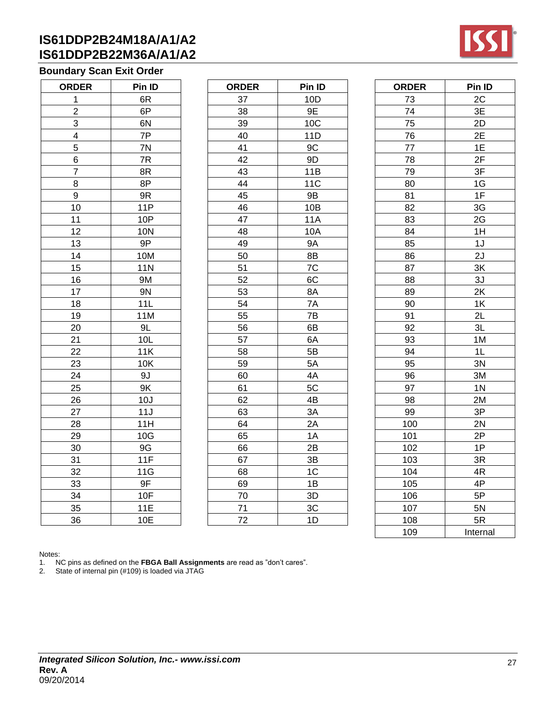## **Boundary Scan Exit Order**

| Pin ID      |  |  |
|-------------|--|--|
| 6R          |  |  |
| 6P          |  |  |
| 6N          |  |  |
| 7P          |  |  |
| 7N          |  |  |
| 7R          |  |  |
| 8R          |  |  |
| 8P          |  |  |
| 9R          |  |  |
| <b>11P</b>  |  |  |
| 10P         |  |  |
| <b>10N</b>  |  |  |
| 9P          |  |  |
| 10M         |  |  |
| 11 <u>M</u> |  |  |
| 9M          |  |  |
| 9N          |  |  |
| 11L         |  |  |
| 11M         |  |  |
| 9L          |  |  |
| 10L         |  |  |
| 11K         |  |  |
| 10K         |  |  |
| 9J          |  |  |
| 9K          |  |  |
| 10J         |  |  |
| 11J         |  |  |
| 11H         |  |  |
| 10G         |  |  |
| 9G          |  |  |
| 11F         |  |  |
| 11G         |  |  |
| 9F          |  |  |
| 10F         |  |  |
| 11E         |  |  |
| 10E         |  |  |
|             |  |  |

| <b>ORDER</b>              | Pin ID     | <b>ORDER</b> | Pin ID     | <b>ORDER</b> | Pin ID         |
|---------------------------|------------|--------------|------------|--------------|----------------|
| $\mathbf{1}$              | 6R         | 37           | 10D        | 73           | 2C             |
| $\overline{2}$            | 6P         | 38           | 9E         | 74           | 3E             |
| $\ensuremath{\mathsf{3}}$ | 6N         | 39           | 10C        | 75           | 2D             |
| $\overline{\mathbf{4}}$   | 7P         | 40           | 11D        | 76           | 2E             |
| 5                         | 7N         | 41           | 9C         | 77           | 1E             |
| 6                         | 7R         | 42           | 9D         | 78           | 2F             |
| $\overline{7}$            | 8R         | 43           | 11B        | 79           | 3F             |
| 8                         | 8P         | 44           | <b>11C</b> | 80           | 1G             |
| $\boldsymbol{9}$          | 9R         | 45           | <b>9B</b>  | 81           | 1F             |
| 10                        | 11P        | 46           | 10B        | 82           | 3G             |
| 11                        | 10P        | 47           | <b>11A</b> | 83           | 2G             |
| 12                        | <b>10N</b> | 48           | 10A        | 84           | 1H             |
| 13                        | 9P         | 49           | 9A         | 85           | 1J             |
| 14                        | 10M        | 50           | 8B         | 86           | 2J             |
| 15                        | <b>11N</b> | 51           | 7C         | 87           | 3K             |
| 16                        | 9M         | 52           | 6C         | 88           | 3J             |
| 17                        | <b>9N</b>  | 53           | 8A         | 89           | 2K             |
| 18                        | 11L        | 54           | 7A         | 90           | 1K             |
| 19                        | 11M        | 55           | 7B         | 91           | 2L             |
| 20                        | 9L         | 56           | 6B         | 92           | 3L             |
| 21                        | 10L        | 57           | 6A         | 93           | 1M             |
| 22                        | 11K        | 58           | 5B         | 94           | 1L             |
| 23                        | 10K        | 59           | 5A         | 95           | 3N             |
| 24                        | 9J         | 60           | 4A         | 96           | 3M             |
| 25                        | 9K         | 61           | 5C         | 97           | 1 <sub>N</sub> |
| 26                        | 10J        | 62           | 4B         | 98           | 2M             |
| 27                        | 11J        | 63           | 3A         | 99           | 3P             |
| 28                        | 11H        | 64           | 2A         | 100          | 2N             |
| 29                        | 10G        | 65           | 1A         | 101          | 2P             |
| 30                        | 9G         | 66           | 2B         | 102          | 1P             |
| 31                        | 11F        | 67           | 3B         | 103          | 3R             |
| 32                        | 11G        | 68           | 1C         | 104          | 4R             |
| 33                        | 9F         | 69           | 1B         | 105          | 4P             |
| 34                        | 10F        | 70           | 3D         | 106          | 5P             |
| 35                        | 11E        | 71           | 3C         | 107          | 5N             |
| 36                        | 10E        | 72           | 1D         | 108          | 5R             |

| <b>ORDER</b> | Pin ID         |  |  |
|--------------|----------------|--|--|
| 73           | 2C             |  |  |
| 74           | 3E             |  |  |
| 75           | 2D             |  |  |
| 76           | 2E             |  |  |
| 77           | 1E             |  |  |
| 78           | 2F             |  |  |
| 79           | 3F             |  |  |
| 80           | 1G             |  |  |
| 81           | 1F             |  |  |
| 82           | 3G             |  |  |
| 83           | 2G             |  |  |
| 84           | 1H             |  |  |
| 85           | 1J             |  |  |
| 86           | 2J             |  |  |
| 87           | 3K             |  |  |
| 88           | 3J             |  |  |
| 89           | 2K             |  |  |
| 90           | 1K             |  |  |
| 91           | 2L             |  |  |
| 92           | 3L             |  |  |
| 93           | 1M             |  |  |
| 94           | 1L             |  |  |
| 95           | 3N             |  |  |
| 96           | 3M             |  |  |
| 97           | 1 <sub>N</sub> |  |  |
| 98           | 2M             |  |  |
| 99           | 3P             |  |  |
| 100          | 2N             |  |  |
| 101          | 2P             |  |  |
| 102          | 1P             |  |  |
| 103          | 3R             |  |  |
| 104          | 4R             |  |  |
| 105          | 4P             |  |  |
| 106          | 5P             |  |  |
| 107          | 5N             |  |  |
| 108          | 5R             |  |  |
| 109          | Internal       |  |  |

Notes:

1. NC pins as defined on the **FBGA Ball Assignments** are read as "don't cares".

2. State of internal pin (#109) is loaded via JTAG

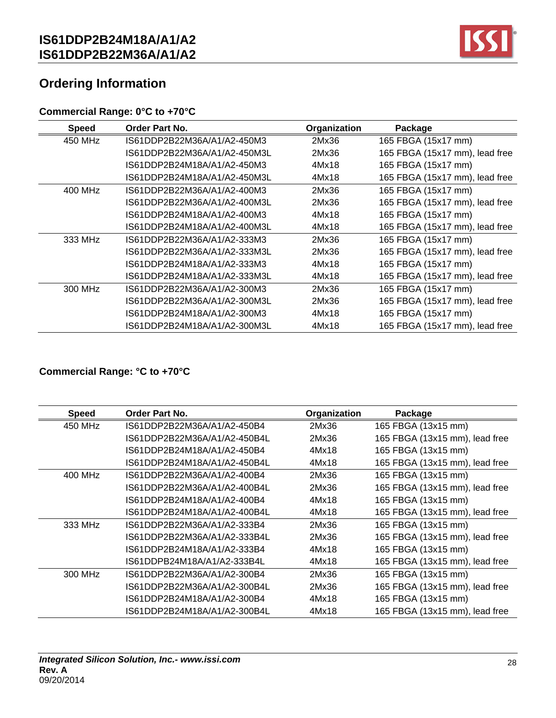

# **Ordering Information**

## **Commercial Range: 0°C to +70°C**

| <b>Speed</b> | Order Part No.               | Organization | Package                        |
|--------------|------------------------------|--------------|--------------------------------|
| 450 MHz      | IS61DDP2B22M36A/A1/A2-450M3  | 2Mx36        | 165 FBGA (15x17 mm)            |
|              | IS61DDP2B22M36A/A1/A2-450M3L | 2Mx36        | 165 FBGA (15x17 mm), lead free |
|              | IS61DDP2B24M18A/A1/A2-450M3  | 4Mx18        | 165 FBGA (15x17 mm)            |
|              | IS61DDP2B24M18A/A1/A2-450M3L | 4Mx18        | 165 FBGA (15x17 mm), lead free |
| 400 MHz      | IS61DDP2B22M36A/A1/A2-400M3  | 2Mx36        | 165 FBGA (15x17 mm)            |
|              | IS61DDP2B22M36A/A1/A2-400M3L | 2Mx36        | 165 FBGA (15x17 mm), lead free |
|              | IS61DDP2B24M18A/A1/A2-400M3  | 4Mx18        | 165 FBGA (15x17 mm)            |
|              | IS61DDP2B24M18A/A1/A2-400M3L | 4Mx18        | 165 FBGA (15x17 mm), lead free |
| 333 MHz      | IS61DDP2B22M36A/A1/A2-333M3  | 2Mx36        | 165 FBGA (15x17 mm)            |
|              | IS61DDP2B22M36A/A1/A2-333M3L | 2Mx36        | 165 FBGA (15x17 mm), lead free |
|              | IS61DDP2B24M18A/A1/A2-333M3  | 4Mx18        | 165 FBGA (15x17 mm)            |
|              | IS61DDP2B24M18A/A1/A2-333M3L | 4Mx18        | 165 FBGA (15x17 mm), lead free |
| 300 MHz      | IS61DDP2B22M36A/A1/A2-300M3  | 2Mx36        | 165 FBGA (15x17 mm)            |
|              | IS61DDP2B22M36A/A1/A2-300M3L | 2Mx36        | 165 FBGA (15x17 mm), lead free |
|              | IS61DDP2B24M18A/A1/A2-300M3  | 4Mx18        | 165 FBGA (15x17 mm)            |
|              | IS61DDP2B24M18A/A1/A2-300M3L | 4Mx18        | 165 FBGA (15x17 mm), lead free |

## **Commercial Range: °C to +70°C**

| <b>Speed</b> | <b>Order Part No.</b>        | Organization | Package                        |
|--------------|------------------------------|--------------|--------------------------------|
| 450 MHz      | IS61DDP2B22M36A/A1/A2-450B4  | 2Mx36        | 165 FBGA (13x15 mm)            |
|              | IS61DDP2B22M36A/A1/A2-450B4L | 2Mx36        | 165 FBGA (13x15 mm), lead free |
|              | IS61DDP2B24M18A/A1/A2-450B4  | 4Mx18        | 165 FBGA (13x15 mm)            |
|              | IS61DDP2B24M18A/A1/A2-450B4L | 4Mx18        | 165 FBGA (13x15 mm), lead free |
| 400 MHz      | IS61DDP2B22M36A/A1/A2-400B4  | 2Mx36        | 165 FBGA (13x15 mm)            |
|              | IS61DDP2B22M36A/A1/A2-400B4L | 2Mx36        | 165 FBGA (13x15 mm), lead free |
|              | IS61DDP2B24M18A/A1/A2-400B4  | 4Mx18        | 165 FBGA (13x15 mm)            |
|              | IS61DDP2B24M18A/A1/A2-400B4L | 4Mx18        | 165 FBGA (13x15 mm), lead free |
| 333 MHz      | IS61DDP2B22M36A/A1/A2-333B4  | 2Mx36        | 165 FBGA (13x15 mm)            |
|              | IS61DDP2B22M36A/A1/A2-333B4L | 2Mx36        | 165 FBGA (13x15 mm), lead free |
|              | IS61DDP2B24M18A/A1/A2-333B4  | 4Mx18        | 165 FBGA (13x15 mm)            |
|              | IS61DDPB24M18A/A1/A2-333B4L  | 4Mx18        | 165 FBGA (13x15 mm), lead free |
| 300 MHz      | IS61DDP2B22M36A/A1/A2-300B4  | 2Mx36        | 165 FBGA (13x15 mm)            |
|              | IS61DDP2B22M36A/A1/A2-300B4L | 2Mx36        | 165 FBGA (13x15 mm), lead free |
|              | IS61DDP2B24M18A/A1/A2-300B4  | 4Mx18        | 165 FBGA (13x15 mm)            |
|              | IS61DDP2B24M18A/A1/A2-300B4L | 4Mx18        | 165 FBGA (13x15 mm), lead free |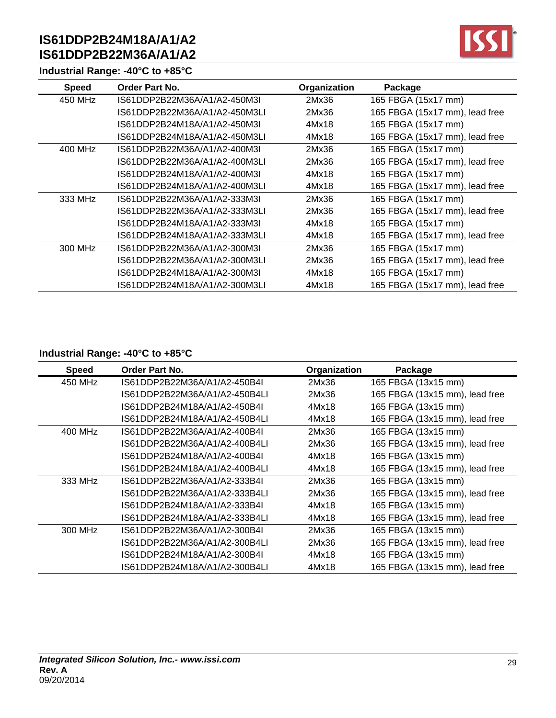## **Industrial Range: -40°C to +85°C**



| <b>Speed</b> | <b>Order Part No.</b>         | Organization | Package                        |
|--------------|-------------------------------|--------------|--------------------------------|
| 450 MHz      | IS61DDP2B22M36A/A1/A2-450M3I  | 2Mx36        | 165 FBGA (15x17 mm)            |
|              | IS61DDP2B22M36A/A1/A2-450M3LI | 2Mx36        | 165 FBGA (15x17 mm), lead free |
|              | IS61DDP2B24M18A/A1/A2-450M3L  | 4Mx18        | 165 FBGA (15x17 mm)            |
|              | IS61DDP2B24M18A/A1/A2-450M3LI | 4Mx18        | 165 FBGA (15x17 mm), lead free |
| 400 MHz      | IS61DDP2B22M36A/A1/A2-400M3I  | 2Mx36        | 165 FBGA (15x17 mm)            |
|              | IS61DDP2B22M36A/A1/A2-400M3LI | 2Mx36        | 165 FBGA (15x17 mm), lead free |
|              | IS61DDP2B24M18A/A1/A2-400M3L  | 4Mx18        | 165 FBGA (15x17 mm)            |
|              | IS61DDP2B24M18A/A1/A2-400M3LI | 4Mx18        | 165 FBGA (15x17 mm), lead free |
| 333 MHz      | IS61DDP2B22M36A/A1/A2-333M3I  | 2Mx36        | 165 FBGA (15x17 mm)            |
|              | IS61DDP2B22M36A/A1/A2-333M3LI | 2Mx36        | 165 FBGA (15x17 mm), lead free |
|              | IS61DDP2B24M18A/A1/A2-333M3L  | 4Mx18        | 165 FBGA (15x17 mm)            |
|              | IS61DDP2B24M18A/A1/A2-333M3LI | 4Mx18        | 165 FBGA (15x17 mm), lead free |
| 300 MHz      | IS61DDP2B22M36A/A1/A2-300M3I  | 2Mx36        | 165 FBGA (15x17 mm)            |
|              | IS61DDP2B22M36A/A1/A2-300M3LI | 2Mx36        | 165 FBGA (15x17 mm), lead free |
|              | IS61DDP2B24M18A/A1/A2-300M3L  | 4Mx18        | 165 FBGA (15x17 mm)            |
|              | IS61DDP2B24M18A/A1/A2-300M3LI | 4Mx18        | 165 FBGA (15x17 mm), lead free |

## **Industrial Range: -40°C to +85°C**

| <b>Speed</b> | <b>Order Part No.</b>         | Organization | Package                        |
|--------------|-------------------------------|--------------|--------------------------------|
| 450 MHz      | IS61DDP2B22M36A/A1/A2-450B4I  | 2Mx36        | 165 FBGA (13x15 mm)            |
|              | IS61DDP2B22M36A/A1/A2-450B4LI | 2Mx36        | 165 FBGA (13x15 mm), lead free |
|              | IS61DDP2B24M18A/A1/A2-450B4I  | 4Mx18        | 165 FBGA (13x15 mm)            |
|              | IS61DDP2B24M18A/A1/A2-450B4LI | 4Mx18        | 165 FBGA (13x15 mm), lead free |
| 400 MHz      | IS61DDP2B22M36A/A1/A2-400B4I  | 2Mx36        | 165 FBGA (13x15 mm)            |
|              | IS61DDP2B22M36A/A1/A2-400B4LI | 2Mx36        | 165 FBGA (13x15 mm), lead free |
|              | IS61DDP2B24M18A/A1/A2-400B4I  | 4Mx18        | 165 FBGA (13x15 mm)            |
|              | IS61DDP2B24M18A/A1/A2-400B4LI | 4Mx18        | 165 FBGA (13x15 mm), lead free |
| 333 MHz      | IS61DDP2B22M36A/A1/A2-333B4I  | 2Mx36        | 165 FBGA (13x15 mm)            |
|              | IS61DDP2B22M36A/A1/A2-333B4LI | 2Mx36        | 165 FBGA (13x15 mm), lead free |
|              | IS61DDP2B24M18A/A1/A2-333B4I  | 4Mx18        | 165 FBGA (13x15 mm)            |
|              | IS61DDP2B24M18A/A1/A2-333B4LI | 4Mx18        | 165 FBGA (13x15 mm), lead free |
| 300 MHz      | IS61DDP2B22M36A/A1/A2-300B4I  | 2Mx36        | 165 FBGA (13x15 mm)            |
|              | IS61DDP2B22M36A/A1/A2-300B4LI | 2Mx36        | 165 FBGA (13x15 mm), lead free |
|              | IS61DDP2B24M18A/A1/A2-300B4I  | 4Mx18        | 165 FBGA (13x15 mm)            |
|              | IS61DDP2B24M18A/A1/A2-300B4LI | 4Mx18        | 165 FBGA (13x15 mm), lead free |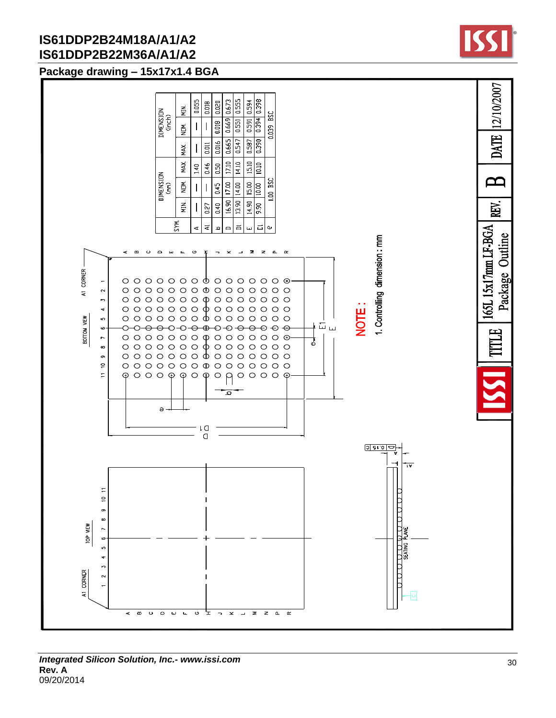## **Package drawing – 15x17x1.4 BGA**